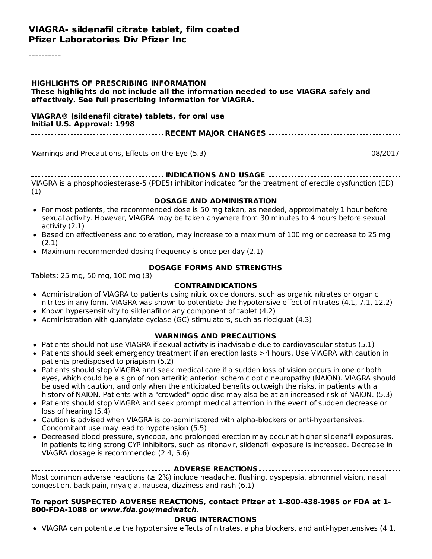#### **VIAGRA- sildenafil citrate tablet, film coated Pfizer Laboratories Div Pfizer Inc**

----------

| <b>HIGHLIGHTS OF PRESCRIBING INFORMATION</b><br>These highlights do not include all the information needed to use VIAGRA safely and<br>effectively. See full prescribing information for VIAGRA.                                                                                                                                                                                                                                                                                                                                                                                                                                                                                                                                                                                                                           |         |
|----------------------------------------------------------------------------------------------------------------------------------------------------------------------------------------------------------------------------------------------------------------------------------------------------------------------------------------------------------------------------------------------------------------------------------------------------------------------------------------------------------------------------------------------------------------------------------------------------------------------------------------------------------------------------------------------------------------------------------------------------------------------------------------------------------------------------|---------|
| VIAGRA® (sildenafil citrate) tablets, for oral use<br>Initial U.S. Approval: 1998                                                                                                                                                                                                                                                                                                                                                                                                                                                                                                                                                                                                                                                                                                                                          |         |
|                                                                                                                                                                                                                                                                                                                                                                                                                                                                                                                                                                                                                                                                                                                                                                                                                            |         |
| Warnings and Precautions, Effects on the Eye (5.3)                                                                                                                                                                                                                                                                                                                                                                                                                                                                                                                                                                                                                                                                                                                                                                         | 08/2017 |
| VIAGRA is a phosphodiesterase-5 (PDE5) inhibitor indicated for the treatment of erectile dysfunction (ED)<br>(1)                                                                                                                                                                                                                                                                                                                                                                                                                                                                                                                                                                                                                                                                                                           |         |
|                                                                                                                                                                                                                                                                                                                                                                                                                                                                                                                                                                                                                                                                                                                                                                                                                            |         |
| • For most patients, the recommended dose is 50 mg taken, as needed, approximately 1 hour before<br>sexual activity. However, VIAGRA may be taken anywhere from 30 minutes to 4 hours before sexual<br>activity (2.1)                                                                                                                                                                                                                                                                                                                                                                                                                                                                                                                                                                                                      |         |
| • Based on effectiveness and toleration, may increase to a maximum of 100 mg or decrease to 25 mg<br>(2.1)                                                                                                                                                                                                                                                                                                                                                                                                                                                                                                                                                                                                                                                                                                                 |         |
| • Maximum recommended dosing frequency is once per day (2.1)                                                                                                                                                                                                                                                                                                                                                                                                                                                                                                                                                                                                                                                                                                                                                               |         |
| ----------------------------------- DOSAGE FORMS AND STRENGTHS -----------------------------------                                                                                                                                                                                                                                                                                                                                                                                                                                                                                                                                                                                                                                                                                                                         |         |
| Tablets: 25 mg, 50 mg, 100 mg (3)                                                                                                                                                                                                                                                                                                                                                                                                                                                                                                                                                                                                                                                                                                                                                                                          |         |
| • Administration of VIAGRA to patients using nitric oxide donors, such as organic nitrates or organic<br>nitrites in any form. VIAGRA was shown to potentiate the hypotensive effect of nitrates (4.1, 7.1, 12.2)<br>• Known hypersensitivity to sildenafil or any component of tablet (4.2)<br>• Administration with guanylate cyclase (GC) stimulators, such as riociguat (4.3)                                                                                                                                                                                                                                                                                                                                                                                                                                          |         |
|                                                                                                                                                                                                                                                                                                                                                                                                                                                                                                                                                                                                                                                                                                                                                                                                                            |         |
| . Patients should not use VIAGRA if sexual activity is inadvisable due to cardiovascular status (5.1)<br>• Patients should seek emergency treatment if an erection lasts >4 hours. Use VIAGRA with caution in<br>patients predisposed to priapism (5.2)<br>• Patients should stop VIAGRA and seek medical care if a sudden loss of vision occurs in one or both<br>eyes, which could be a sign of non arteritic anterior ischemic optic neuropathy (NAION). VIAGRA should<br>be used with caution, and only when the anticipated benefits outweigh the risks, in patients with a<br>history of NAION. Patients with a "crowded" optic disc may also be at an increased risk of NAION. (5.3)<br>• Patients should stop VIAGRA and seek prompt medical attention in the event of sudden decrease or<br>loss of hearing (5.4) |         |
| • Caution is advised when VIAGRA is co-administered with alpha-blockers or anti-hypertensives.<br>Concomitant use may lead to hypotension (5.5)                                                                                                                                                                                                                                                                                                                                                                                                                                                                                                                                                                                                                                                                            |         |
| • Decreased blood pressure, syncope, and prolonged erection may occur at higher sildenafil exposures.<br>In patients taking strong CYP inhibitors, such as ritonavir, sildenafil exposure is increased. Decrease in<br>VIAGRA dosage is recommended (2.4, 5.6)                                                                                                                                                                                                                                                                                                                                                                                                                                                                                                                                                             |         |
|                                                                                                                                                                                                                                                                                                                                                                                                                                                                                                                                                                                                                                                                                                                                                                                                                            |         |
| Most common adverse reactions ( $\geq 2\%$ ) include headache, flushing, dyspepsia, abnormal vision, nasal<br>congestion, back pain, myalgia, nausea, dizziness and rash (6.1)                                                                                                                                                                                                                                                                                                                                                                                                                                                                                                                                                                                                                                             |         |
| To report SUSPECTED ADVERSE REACTIONS, contact Pfizer at 1-800-438-1985 or FDA at 1-<br>800-FDA-1088 or www.fda.gov/medwatch.                                                                                                                                                                                                                                                                                                                                                                                                                                                                                                                                                                                                                                                                                              |         |
| the contract of the contract of the contract of the contract of the contract of                                                                                                                                                                                                                                                                                                                                                                                                                                                                                                                                                                                                                                                                                                                                            |         |

VIAGRA can potentiate the hypotensive effects of nitrates, alpha blockers, and anti-hypertensives (4.1,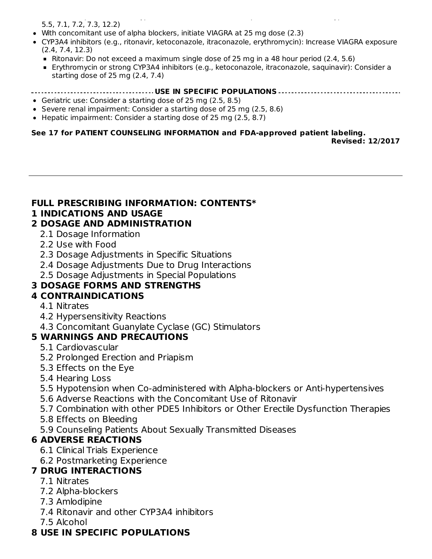VIAGRA can potentiate the hypotensive effects of nitrates, alpha blockers, and anti-hypertensives (4.1, 5.5, 7.1, 7.2, 7.3, 12.2)

- With concomitant use of alpha blockers, initiate VIAGRA at 25 mg dose (2.3)
- CYP3A4 inhibitors (e.g., ritonavir, ketoconazole, itraconazole, erythromycin): Increase VIAGRA exposure (2.4, 7.4, 12.3)
	- Ritonavir: Do not exceed a maximum single dose of 25 mg in a 48 hour period  $(2.4, 5.6)$
	- Erythromycin or strong CYP3A4 inhibitors (e.g., ketoconazole, itraconazole, saquinavir): Consider a starting dose of 25 mg (2.4, 7.4)

#### **USE IN SPECIFIC POPULATIONS**

- Geriatric use: Consider a starting dose of 25 mg (2.5, 8.5)
- Severe renal impairment: Consider a starting dose of 25 mg (2.5, 8.6)
- Hepatic impairment: Consider a starting dose of 25 mg (2.5, 8.7)

#### **See 17 for PATIENT COUNSELING INFORMATION and FDA-approved patient labeling.**

**Revised: 12/2017**

#### **FULL PRESCRIBING INFORMATION: CONTENTS\***

#### **1 INDICATIONS AND USAGE**

#### **2 DOSAGE AND ADMINISTRATION**

- 2.1 Dosage Information
- 2.2 Use with Food
- 2.3 Dosage Adjustments in Specific Situations
- 2.4 Dosage Adjustments Due to Drug Interactions
- 2.5 Dosage Adjustments in Special Populations

#### **3 DOSAGE FORMS AND STRENGTHS**

#### **4 CONTRAINDICATIONS**

- 4.1 Nitrates
- 4.2 Hypersensitivity Reactions
- 4.3 Concomitant Guanylate Cyclase (GC) Stimulators

#### **5 WARNINGS AND PRECAUTIONS**

- 5.1 Cardiovascular
- 5.2 Prolonged Erection and Priapism
- 5.3 Effects on the Eye
- 5.4 Hearing Loss
- 5.5 Hypotension when Co-administered with Alpha-blockers or Anti-hypertensives
- 5.6 Adverse Reactions with the Concomitant Use of Ritonavir
- 5.7 Combination with other PDE5 Inhibitors or Other Erectile Dysfunction Therapies
- 5.8 Effects on Bleeding
- 5.9 Counseling Patients About Sexually Transmitted Diseases

#### **6 ADVERSE REACTIONS**

- 6.1 Clinical Trials Experience
- 6.2 Postmarketing Experience

#### **7 DRUG INTERACTIONS**

- 7.1 Nitrates
- 7.2 Alpha-blockers
- 7.3 Amlodipine
- 7.4 Ritonavir and other CYP3A4 inhibitors
- 7.5 Alcohol

#### **8 USE IN SPECIFIC POPULATIONS**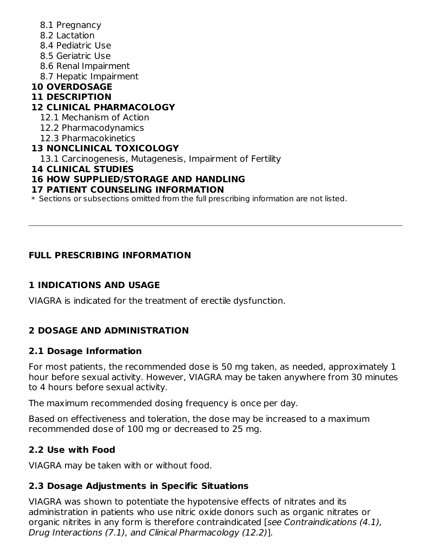- 8.1 Pregnancy
- 8.2 Lactation
- 8.4 Pediatric Use
- 8.5 Geriatric Use
- 8.6 Renal Impairment
- 8.7 Hepatic Impairment

## **10 OVERDOSAGE**

## **11 DESCRIPTION**

## **12 CLINICAL PHARMACOLOGY**

- 12.1 Mechanism of Action
- 12.2 Pharmacodynamics
- 12.3 Pharmacokinetics

## **13 NONCLINICAL TOXICOLOGY**

13.1 Carcinogenesis, Mutagenesis, Impairment of Fertility

#### **14 CLINICAL STUDIES**

## **16 HOW SUPPLIED/STORAGE AND HANDLING**

#### **17 PATIENT COUNSELING INFORMATION**

 $\ast$  Sections or subsections omitted from the full prescribing information are not listed.

## **FULL PRESCRIBING INFORMATION**

## **1 INDICATIONS AND USAGE**

VIAGRA is indicated for the treatment of erectile dysfunction.

## **2 DOSAGE AND ADMINISTRATION**

## **2.1 Dosage Information**

For most patients, the recommended dose is 50 mg taken, as needed, approximately 1 hour before sexual activity. However, VIAGRA may be taken anywhere from 30 minutes to 4 hours before sexual activity.

The maximum recommended dosing frequency is once per day.

Based on effectiveness and toleration, the dose may be increased to a maximum recommended dose of 100 mg or decreased to 25 mg.

## **2.2 Use with Food**

VIAGRA may be taken with or without food.

## **2.3 Dosage Adjustments in Specific Situations**

VIAGRA was shown to potentiate the hypotensive effects of nitrates and its administration in patients who use nitric oxide donors such as organic nitrates or organic nitrites in any form is therefore contraindicated [see Contraindications (4.1), Drug Interactions (7.1), and Clinical Pharmacology (12.2)].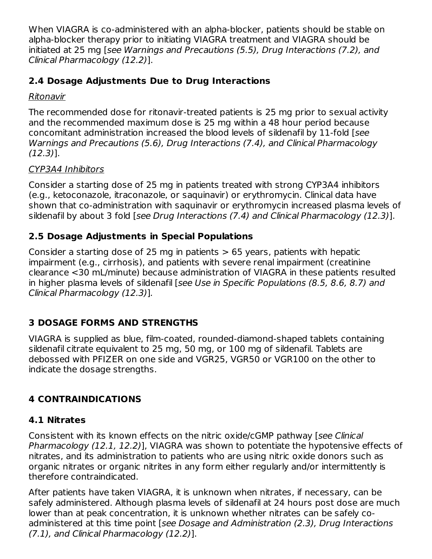When VIAGRA is co-administered with an alpha-blocker, patients should be stable on alpha-blocker therapy prior to initiating VIAGRA treatment and VIAGRA should be initiated at 25 mg [see Warnings and Precautions (5.5), Drug Interactions (7.2), and Clinical Pharmacology (12.2)].

## **2.4 Dosage Adjustments Due to Drug Interactions**

## Ritonavir

The recommended dose for ritonavir-treated patients is 25 mg prior to sexual activity and the recommended maximum dose is 25 mg within a 48 hour period because concomitant administration increased the blood levels of sildenafil by 11-fold [see Warnings and Precautions (5.6), Drug Interactions (7.4), and Clinical Pharmacology (12.3)].

## CYP3A4 Inhibitors

Consider a starting dose of 25 mg in patients treated with strong CYP3A4 inhibitors (e.g., ketoconazole, itraconazole, or saquinavir) or erythromycin. Clinical data have shown that co-administration with saquinavir or erythromycin increased plasma levels of sildenafil by about 3 fold [see Drug Interactions (7.4) and Clinical Pharmacology (12.3)].

## **2.5 Dosage Adjustments in Special Populations**

Consider a starting dose of 25 mg in patients  $> 65$  years, patients with hepatic impairment (e.g., cirrhosis), and patients with severe renal impairment (creatinine clearance <30 mL/minute) because administration of VIAGRA in these patients resulted in higher plasma levels of sildenafil [see Use in Specific Populations (8.5, 8.6, 8.7) and Clinical Pharmacology (12.3)].

## **3 DOSAGE FORMS AND STRENGTHS**

VIAGRA is supplied as blue, film-coated, rounded-diamond-shaped tablets containing sildenafil citrate equivalent to 25 mg, 50 mg, or 100 mg of sildenafil. Tablets are debossed with PFIZER on one side and VGR25, VGR50 or VGR100 on the other to indicate the dosage strengths.

## **4 CONTRAINDICATIONS**

## **4.1 Nitrates**

Consistent with its known effects on the nitric oxide/cGMP pathway [see Clinical Pharmacology (12.1, 12.2)], VIAGRA was shown to potentiate the hypotensive effects of nitrates, and its administration to patients who are using nitric oxide donors such as organic nitrates or organic nitrites in any form either regularly and/or intermittently is therefore contraindicated.

After patients have taken VIAGRA, it is unknown when nitrates, if necessary, can be safely administered. Although plasma levels of sildenafil at 24 hours post dose are much lower than at peak concentration, it is unknown whether nitrates can be safely coadministered at this time point [see Dosage and Administration (2.3), Drug Interactions (7.1), and Clinical Pharmacology (12.2)].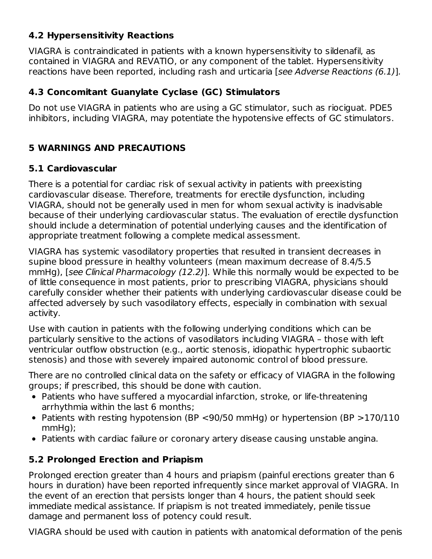### **4.2 Hypersensitivity Reactions**

VIAGRA is contraindicated in patients with a known hypersensitivity to sildenafil, as contained in VIAGRA and REVATIO, or any component of the tablet. Hypersensitivity reactions have been reported, including rash and urticaria [see Adverse Reactions (6.1)].

## **4.3 Concomitant Guanylate Cyclase (GC) Stimulators**

Do not use VIAGRA in patients who are using a GC stimulator, such as riociguat. PDE5 inhibitors, including VIAGRA, may potentiate the hypotensive effects of GC stimulators.

## **5 WARNINGS AND PRECAUTIONS**

## **5.1 Cardiovascular**

There is a potential for cardiac risk of sexual activity in patients with preexisting cardiovascular disease. Therefore, treatments for erectile dysfunction, including VIAGRA, should not be generally used in men for whom sexual activity is inadvisable because of their underlying cardiovascular status. The evaluation of erectile dysfunction should include a determination of potential underlying causes and the identification of appropriate treatment following a complete medical assessment.

VIAGRA has systemic vasodilatory properties that resulted in transient decreases in supine blood pressure in healthy volunteers (mean maximum decrease of 8.4/5.5 mmHg), [see Clinical Pharmacology (12.2)]. While this normally would be expected to be of little consequence in most patients, prior to prescribing VIAGRA, physicians should carefully consider whether their patients with underlying cardiovascular disease could be affected adversely by such vasodilatory effects, especially in combination with sexual activity.

Use with caution in patients with the following underlying conditions which can be particularly sensitive to the actions of vasodilators including VIAGRA – those with left ventricular outflow obstruction (e.g., aortic stenosis, idiopathic hypertrophic subaortic stenosis) and those with severely impaired autonomic control of blood pressure.

There are no controlled clinical data on the safety or efficacy of VIAGRA in the following groups; if prescribed, this should be done with caution.

- Patients who have suffered a myocardial infarction, stroke, or life-threatening arrhythmia within the last 6 months;
- Patients with resting hypotension (BP <90/50 mmHg) or hypertension (BP >170/110 mmHg):
- Patients with cardiac failure or coronary artery disease causing unstable angina.

## **5.2 Prolonged Erection and Priapism**

Prolonged erection greater than 4 hours and priapism (painful erections greater than 6 hours in duration) have been reported infrequently since market approval of VIAGRA. In the event of an erection that persists longer than 4 hours, the patient should seek immediate medical assistance. If priapism is not treated immediately, penile tissue damage and permanent loss of potency could result.

VIAGRA should be used with caution in patients with anatomical deformation of the penis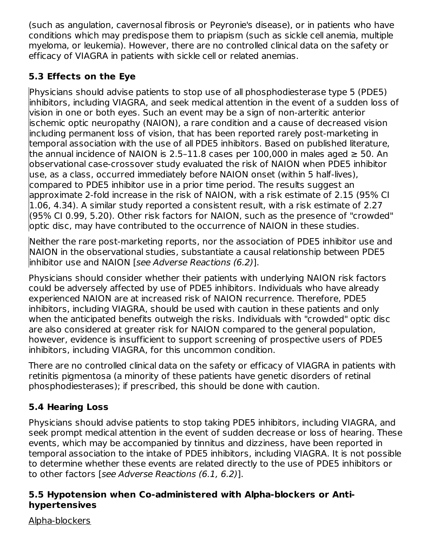(such as angulation, cavernosal fibrosis or Peyronie's disease), or in patients who have conditions which may predispose them to priapism (such as sickle cell anemia, multiple myeloma, or leukemia). However, there are no controlled clinical data on the safety or efficacy of VIAGRA in patients with sickle cell or related anemias.

## **5.3 Effects on the Eye**

Physicians should advise patients to stop use of all phosphodiesterase type 5 (PDE5) inhibitors, including VIAGRA, and seek medical attention in the event of a sudden loss of vision in one or both eyes. Such an event may be a sign of non-arteritic anterior ischemic optic neuropathy (NAION), a rare condition and a cause of decreased vision including permanent loss of vision, that has been reported rarely post-marketing in temporal association with the use of all PDE5 inhibitors. Based on published literature, the annual incidence of NAION is 2.5–11.8 cases per 100,000 in males aged ≥ 50. An observational case-crossover study evaluated the risk of NAION when PDE5 inhibitor use, as a class, occurred immediately before NAION onset (within 5 half-lives), compared to PDE5 inhibitor use in a prior time period. The results suggest an approximate 2-fold increase in the risk of NAION, with a risk estimate of 2.15 (95% CI 1.06, 4.34). A similar study reported a consistent result, with a risk estimate of 2.27 (95% CI 0.99, 5.20). Other risk factors for NAION, such as the presence of "crowded" optic disc, may have contributed to the occurrence of NAION in these studies.

Neither the rare post-marketing reports, nor the association of PDE5 inhibitor use and NAION in the observational studies, substantiate a causal relationship between PDE5 inhibitor use and NAION [see Adverse Reactions (6.2)].

Physicians should consider whether their patients with underlying NAION risk factors could be adversely affected by use of PDE5 inhibitors. Individuals who have already experienced NAION are at increased risk of NAION recurrence. Therefore, PDE5 inhibitors, including VIAGRA, should be used with caution in these patients and only when the anticipated benefits outweigh the risks. Individuals with "crowded" optic disc are also considered at greater risk for NAION compared to the general population, however, evidence is insufficient to support screening of prospective users of PDE5 inhibitors, including VIAGRA, for this uncommon condition.

There are no controlled clinical data on the safety or efficacy of VIAGRA in patients with retinitis pigmentosa (a minority of these patients have genetic disorders of retinal phosphodiesterases); if prescribed, this should be done with caution.

## **5.4 Hearing Loss**

Physicians should advise patients to stop taking PDE5 inhibitors, including VIAGRA, and seek prompt medical attention in the event of sudden decrease or loss of hearing. These events, which may be accompanied by tinnitus and dizziness, have been reported in temporal association to the intake of PDE5 inhibitors, including VIAGRA. It is not possible to determine whether these events are related directly to the use of PDE5 inhibitors or to other factors [see Adverse Reactions (6.1, 6.2)].

#### **5.5 Hypotension when Co-administered with Alpha-blockers or Antihypertensives**

Alpha-blockers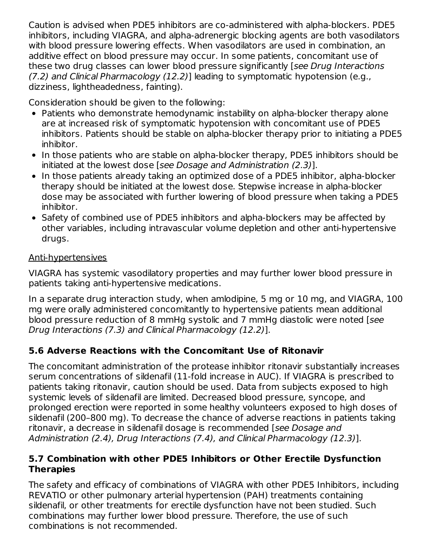Caution is advised when PDE5 inhibitors are co-administered with alpha-blockers. PDE5 inhibitors, including VIAGRA, and alpha-adrenergic blocking agents are both vasodilators with blood pressure lowering effects. When vasodilators are used in combination, an additive effect on blood pressure may occur. In some patients, concomitant use of these two drug classes can lower blood pressure significantly [see Drug Interactions (7.2) and Clinical Pharmacology (12.2)] leading to symptomatic hypotension (e.g., dizziness, lightheadedness, fainting).

Consideration should be given to the following:

- Patients who demonstrate hemodynamic instability on alpha-blocker therapy alone are at increased risk of symptomatic hypotension with concomitant use of PDE5 inhibitors. Patients should be stable on alpha-blocker therapy prior to initiating a PDE5 inhibitor.
- In those patients who are stable on alpha-blocker therapy, PDE5 inhibitors should be initiated at the lowest dose [see Dosage and Administration (2.3)].
- In those patients already taking an optimized dose of a PDE5 inhibitor, alpha-blocker therapy should be initiated at the lowest dose. Stepwise increase in alpha-blocker dose may be associated with further lowering of blood pressure when taking a PDE5 inhibitor.
- Safety of combined use of PDE5 inhibitors and alpha-blockers may be affected by other variables, including intravascular volume depletion and other anti-hypertensive drugs.

#### Anti-hypertensives

VIAGRA has systemic vasodilatory properties and may further lower blood pressure in patients taking anti-hypertensive medications.

In a separate drug interaction study, when amlodipine, 5 mg or 10 mg, and VIAGRA, 100 mg were orally administered concomitantly to hypertensive patients mean additional blood pressure reduction of 8 mmHg systolic and 7 mmHg diastolic were noted [see Drug Interactions (7.3) and Clinical Pharmacology (12.2)].

#### **5.6 Adverse Reactions with the Concomitant Use of Ritonavir**

The concomitant administration of the protease inhibitor ritonavir substantially increases serum concentrations of sildenafil (11-fold increase in AUC). If VIAGRA is prescribed to patients taking ritonavir, caution should be used. Data from subjects exposed to high systemic levels of sildenafil are limited. Decreased blood pressure, syncope, and prolonged erection were reported in some healthy volunteers exposed to high doses of sildenafil (200–800 mg). To decrease the chance of adverse reactions in patients taking ritonavir, a decrease in sildenafil dosage is recommended [see Dosage and Administration (2.4), Drug Interactions (7.4), and Clinical Pharmacology (12.3)].

#### **5.7 Combination with other PDE5 Inhibitors or Other Erectile Dysfunction Therapies**

The safety and efficacy of combinations of VIAGRA with other PDE5 Inhibitors, including REVATIO or other pulmonary arterial hypertension (PAH) treatments containing sildenafil, or other treatments for erectile dysfunction have not been studied. Such combinations may further lower blood pressure. Therefore, the use of such combinations is not recommended.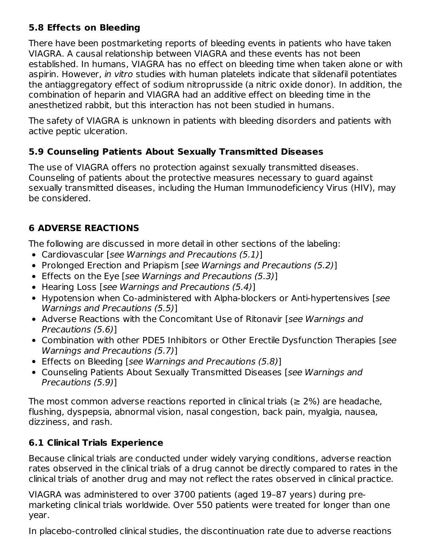## **5.8 Effects on Bleeding**

There have been postmarketing reports of bleeding events in patients who have taken VIAGRA. A causal relationship between VIAGRA and these events has not been established. In humans, VIAGRA has no effect on bleeding time when taken alone or with aspirin. However, in vitro studies with human platelets indicate that sildenafil potentiates the antiaggregatory effect of sodium nitroprusside (a nitric oxide donor). In addition, the combination of heparin and VIAGRA had an additive effect on bleeding time in the anesthetized rabbit, but this interaction has not been studied in humans.

The safety of VIAGRA is unknown in patients with bleeding disorders and patients with active peptic ulceration.

## **5.9 Counseling Patients About Sexually Transmitted Diseases**

The use of VIAGRA offers no protection against sexually transmitted diseases. Counseling of patients about the protective measures necessary to guard against sexually transmitted diseases, including the Human Immunodeficiency Virus (HIV), may be considered.

## **6 ADVERSE REACTIONS**

The following are discussed in more detail in other sections of the labeling:

- Cardiovascular [see Warnings and Precautions (5.1)]
- Prolonged Erection and Priapism [see Warnings and Precautions (5.2)]
- Effects on the Eye [see Warnings and Precautions (5.3)]
- Hearing Loss [see Warnings and Precautions (5.4)]
- Hypotension when Co-administered with Alpha-blockers or Anti-hypertensives [see Warnings and Precautions (5.5)]
- Adverse Reactions with the Concomitant Use of Ritonavir [see Warnings and Precautions (5.6)]
- Combination with other PDE5 Inhibitors or Other Erectile Dysfunction Therapies [see Warnings and Precautions (5.7)]
- Effects on Bleeding [see Warnings and Precautions (5.8)]
- Counseling Patients About Sexually Transmitted Diseases [see Warnings and Precautions (5.9)]

The most common adverse reactions reported in clinical trials ( $\geq 2\%$ ) are headache, flushing, dyspepsia, abnormal vision, nasal congestion, back pain, myalgia, nausea, dizziness, and rash.

## **6.1 Clinical Trials Experience**

Because clinical trials are conducted under widely varying conditions, adverse reaction rates observed in the clinical trials of a drug cannot be directly compared to rates in the clinical trials of another drug and may not reflect the rates observed in clinical practice.

VIAGRA was administered to over 3700 patients (aged 19–87 years) during premarketing clinical trials worldwide. Over 550 patients were treated for longer than one year.

In placebo-controlled clinical studies, the discontinuation rate due to adverse reactions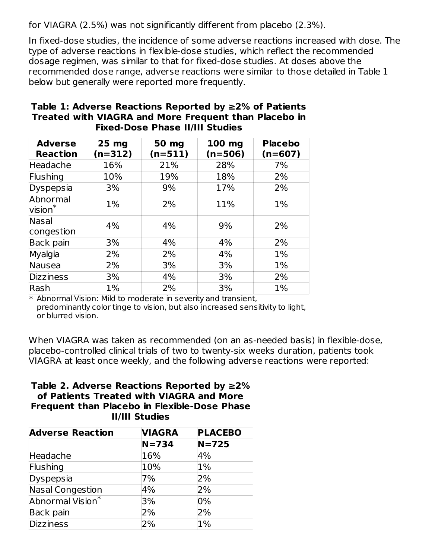for VIAGRA (2.5%) was not significantly different from placebo (2.3%).

In fixed-dose studies, the incidence of some adverse reactions increased with dose. The type of adverse reactions in flexible-dose studies, which reflect the recommended dosage regimen, was similar to that for fixed-dose studies. At doses above the recommended dose range, adverse reactions were similar to those detailed in Table 1 below but generally were reported more frequently.

| <b>Adverse</b><br><b>Reaction</b> | 25 <sub>mg</sub><br>$(n=312)$ | 50 mg<br>$(n=511)$ | 100 mg<br>$(n=506)$ | <b>Placebo</b><br>$(n=607)$ |
|-----------------------------------|-------------------------------|--------------------|---------------------|-----------------------------|
| Headache                          | 16%                           | 21%                | 28%                 | 7%                          |
| Flushing                          | 10%                           | 19%                | 18%                 | 2%                          |
| Dyspepsia                         | 3%                            | 9%                 | 17%                 | 2%                          |
| Abnormal<br>$vision*$             | 1%                            | 2%                 | 11%                 | $1\%$                       |
| Nasal<br>congestion               | 4%                            | 4%                 | 9%                  | 2%                          |
| Back pain                         | 3%                            | 4%                 | 4%                  | 2%                          |
| Myalgia                           | 2%                            | 2%                 | 4%                  | $1\%$                       |
| Nausea                            | 2%                            | 3%                 | 3%                  | $1\%$                       |
| <b>Dizziness</b>                  | 3%                            | 4%                 | 3%                  | 2%                          |
| Rash                              | 1%                            | 2%                 | 3%                  | 1%                          |

#### **Table 1: Adverse Reactions Reported by ≥2% of Patients Treated with VIAGRA and More Frequent than Placebo in Fixed-Dose Phase II/III Studies**

\* Abnormal Vision: Mild to moderate in severity and transient, predominantly color tinge to vision, but also increased sensitivity to light, or blurred vision.

When VIAGRA was taken as recommended (on an as-needed basis) in flexible-dose, placebo-controlled clinical trials of two to twenty-six weeks duration, patients took VIAGRA at least once weekly, and the following adverse reactions were reported:

#### **Table 2. Adverse Reactions Reported by ≥2% of Patients Treated with VIAGRA and More Frequent than Placebo in Flexible-Dose Phase II/III Studies**

| $N = 734$ |           |
|-----------|-----------|
|           | $N = 725$ |
| 16%       | 4%        |
| 10%       | 1%        |
| 7%        | 2%        |
| 4%        | 2%        |
| 3%        | 0%        |
| 2%        | 2%        |
| 2%        | 1%        |
|           |           |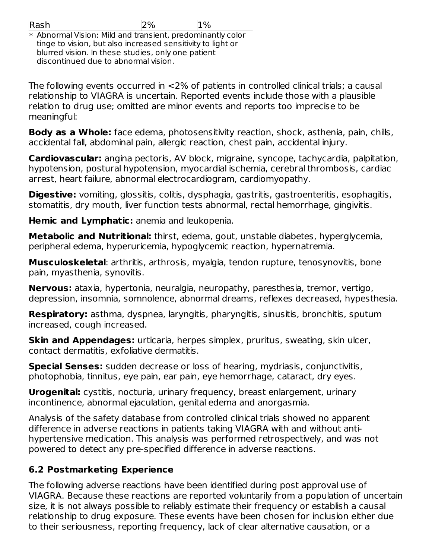| Rash   |   | ◡ |  |  |
|--------|---|---|--|--|
| $\sim$ | . |   |  |  |

 $\ast$  Abnormal Vision: Mild and transient, predominantly color tinge to vision, but also increased sensitivity to light or blurred vision. In these studies, only one patient discontinued due to abnormal vision.

The following events occurred in <2% of patients in controlled clinical trials; a causal relationship to VIAGRA is uncertain. Reported events include those with a plausible relation to drug use; omitted are minor events and reports too imprecise to be meaningful:

**Body as a Whole:** face edema, photosensitivity reaction, shock, asthenia, pain, chills, accidental fall, abdominal pain, allergic reaction, chest pain, accidental injury.

**Cardiovascular:** angina pectoris, AV block, migraine, syncope, tachycardia, palpitation, hypotension, postural hypotension, myocardial ischemia, cerebral thrombosis, cardiac arrest, heart failure, abnormal electrocardiogram, cardiomyopathy.

**Digestive:** vomiting, glossitis, colitis, dysphagia, gastritis, gastroenteritis, esophagitis, stomatitis, dry mouth, liver function tests abnormal, rectal hemorrhage, gingivitis.

**Hemic and Lymphatic:** anemia and leukopenia.

**Metabolic and Nutritional:** thirst, edema, gout, unstable diabetes, hyperglycemia, peripheral edema, hyperuricemia, hypoglycemic reaction, hypernatremia.

**Musculoskeletal**: arthritis, arthrosis, myalgia, tendon rupture, tenosynovitis, bone pain, myasthenia, synovitis.

**Nervous:** ataxia, hypertonia, neuralgia, neuropathy, paresthesia, tremor, vertigo, depression, insomnia, somnolence, abnormal dreams, reflexes decreased, hypesthesia.

**Respiratory:** asthma, dyspnea, laryngitis, pharyngitis, sinusitis, bronchitis, sputum increased, cough increased.

**Skin and Appendages:** urticaria, herpes simplex, pruritus, sweating, skin ulcer, contact dermatitis, exfoliative dermatitis.

**Special Senses:** sudden decrease or loss of hearing, mydriasis, conjunctivitis, photophobia, tinnitus, eye pain, ear pain, eye hemorrhage, cataract, dry eyes.

**Urogenital:** cystitis, nocturia, urinary frequency, breast enlargement, urinary incontinence, abnormal ejaculation, genital edema and anorgasmia.

Analysis of the safety database from controlled clinical trials showed no apparent difference in adverse reactions in patients taking VIAGRA with and without antihypertensive medication. This analysis was performed retrospectively, and was not powered to detect any pre-specified difference in adverse reactions.

#### **6.2 Postmarketing Experience**

The following adverse reactions have been identified during post approval use of VIAGRA. Because these reactions are reported voluntarily from a population of uncertain size, it is not always possible to reliably estimate their frequency or establish a causal relationship to drug exposure. These events have been chosen for inclusion either due to their seriousness, reporting frequency, lack of clear alternative causation, or a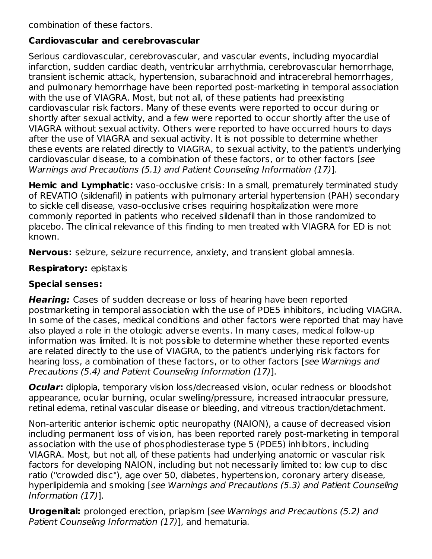combination of these factors.

#### **Cardiovascular and cerebrovascular**

Serious cardiovascular, cerebrovascular, and vascular events, including myocardial infarction, sudden cardiac death, ventricular arrhythmia, cerebrovascular hemorrhage, transient ischemic attack, hypertension, subarachnoid and intracerebral hemorrhages, and pulmonary hemorrhage have been reported post-marketing in temporal association with the use of VIAGRA. Most, but not all, of these patients had preexisting cardiovascular risk factors. Many of these events were reported to occur during or shortly after sexual activity, and a few were reported to occur shortly after the use of VIAGRA without sexual activity. Others were reported to have occurred hours to days after the use of VIAGRA and sexual activity. It is not possible to determine whether these events are related directly to VIAGRA, to sexual activity, to the patient's underlying cardiovascular disease, to a combination of these factors, or to other factors [see Warnings and Precautions (5.1) and Patient Counseling Information (17)].

**Hemic and Lymphatic:** vaso-occlusive crisis: In a small, prematurely terminated study of REVATIO (sildenafil) in patients with pulmonary arterial hypertension (PAH) secondary to sickle cell disease, vaso-occlusive crises requiring hospitalization were more commonly reported in patients who received sildenafil than in those randomized to placebo. The clinical relevance of this finding to men treated with VIAGRA for ED is not known.

**Nervous:** seizure, seizure recurrence, anxiety, and transient global amnesia.

#### **Respiratory:** epistaxis

#### **Special senses:**

**Hearing:** Cases of sudden decrease or loss of hearing have been reported postmarketing in temporal association with the use of PDE5 inhibitors, including VIAGRA. In some of the cases, medical conditions and other factors were reported that may have also played a role in the otologic adverse events. In many cases, medical follow-up information was limited. It is not possible to determine whether these reported events are related directly to the use of VIAGRA, to the patient's underlying risk factors for hearing loss, a combination of these factors, or to other factors [see Warnings and Precautions (5.4) and Patient Counseling Information (17)].

**Ocular:** diplopia, temporary vision loss/decreased vision, ocular redness or bloodshot appearance, ocular burning, ocular swelling/pressure, increased intraocular pressure, retinal edema, retinal vascular disease or bleeding, and vitreous traction/detachment.

Non-arteritic anterior ischemic optic neuropathy (NAION), a cause of decreased vision including permanent loss of vision, has been reported rarely post-marketing in temporal association with the use of phosphodiesterase type 5 (PDE5) inhibitors, including VIAGRA. Most, but not all, of these patients had underlying anatomic or vascular risk factors for developing NAION, including but not necessarily limited to: low cup to disc ratio ("crowded disc"), age over 50, diabetes, hypertension, coronary artery disease, hyperlipidemia and smoking [see Warnings and Precautions (5.3) and Patient Counseling Information (17)].

**Urogenital:** prolonged erection, priapism [see Warnings and Precautions (5.2) and Patient Counseling Information (17)], and hematuria.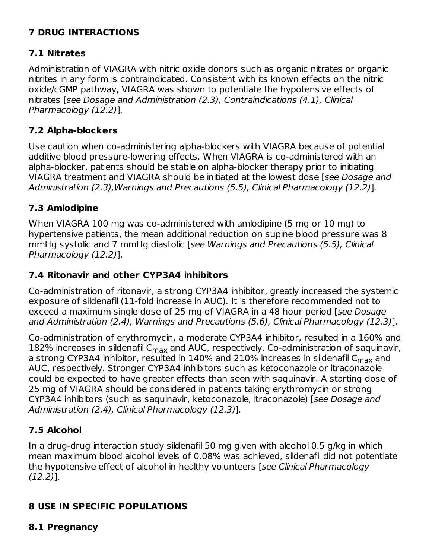## **7 DRUG INTERACTIONS**

#### **7.1 Nitrates**

Administration of VIAGRA with nitric oxide donors such as organic nitrates or organic nitrites in any form is contraindicated. Consistent with its known effects on the nitric oxide/cGMP pathway, VIAGRA was shown to potentiate the hypotensive effects of nitrates [see Dosage and Administration (2.3), Contraindications (4.1), Clinical Pharmacology (12.2)].

### **7.2 Alpha-blockers**

Use caution when co-administering alpha-blockers with VIAGRA because of potential additive blood pressure-lowering effects. When VIAGRA is co-administered with an alpha-blocker, patients should be stable on alpha-blocker therapy prior to initiating VIAGRA treatment and VIAGRA should be initiated at the lowest dose [see Dosage and Administration (2.3),Warnings and Precautions (5.5), Clinical Pharmacology (12.2)].

#### **7.3 Amlodipine**

When VIAGRA 100 mg was co-administered with amlodipine (5 mg or 10 mg) to hypertensive patients, the mean additional reduction on supine blood pressure was 8 mmHg systolic and 7 mmHg diastolic [see Warnings and Precautions (5.5), Clinical Pharmacology (12.2)].

#### **7.4 Ritonavir and other CYP3A4 inhibitors**

Co-administration of ritonavir, a strong CYP3A4 inhibitor, greatly increased the systemic exposure of sildenafil (11-fold increase in AUC). It is therefore recommended not to exceed a maximum single dose of 25 mg of VIAGRA in a 48 hour period [see Dosage and Administration (2.4), Warnings and Precautions (5.6), Clinical Pharmacology (12.3)].

Co-administration of erythromycin, a moderate CYP3A4 inhibitor, resulted in a 160% and 182% increases in sildenafil C<sub>max</sub> and AUC, respectively. Co-administration of saquinavir, a strong CYP3A4 inhibitor, resulted in 140% and 210% increases in sildenafil C $_{\sf max}$  and AUC, respectively. Stronger CYP3A4 inhibitors such as ketoconazole or itraconazole could be expected to have greater effects than seen with saquinavir. A starting dose of 25 mg of VIAGRA should be considered in patients taking erythromycin or strong CYP3A4 inhibitors (such as saquinavir, ketoconazole, itraconazole) [see Dosage and Administration (2.4), Clinical Pharmacology (12.3)].

#### **7.5 Alcohol**

In a drug-drug interaction study sildenafil 50 mg given with alcohol 0.5 g/kg in which mean maximum blood alcohol levels of 0.08% was achieved, sildenafil did not potentiate the hypotensive effect of alcohol in healthy volunteers [see Clinical Pharmacology (12.2)].

#### **8 USE IN SPECIFIC POPULATIONS**

#### **8.1 Pregnancy**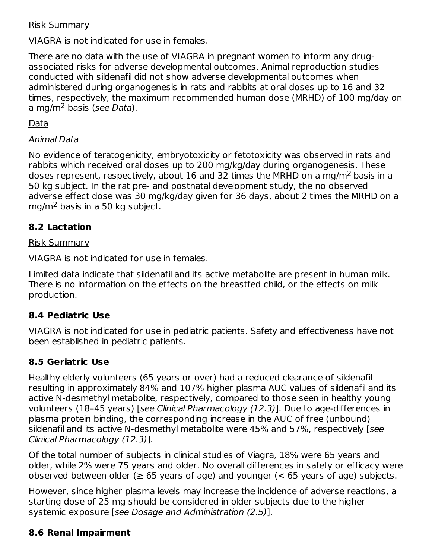#### Risk Summary

VIAGRA is not indicated for use in females.

There are no data with the use of VIAGRA in pregnant women to inform any drugassociated risks for adverse developmental outcomes. Animal reproduction studies conducted with sildenafil did not show adverse developmental outcomes when administered during organogenesis in rats and rabbits at oral doses up to 16 and 32 times, respectively, the maximum recommended human dose (MRHD) of 100 mg/day on a mg/m<sup>2</sup> basis (*see Data*).

### Data

#### Animal Data

No evidence of teratogenicity, embryotoxicity or fetotoxicity was observed in rats and rabbits which received oral doses up to 200 mg/kg/day during organogenesis. These doses represent, respectively, about 16 and 32 times the MRHD on a mg/m<sup>2</sup> basis in a 50 kg subject. In the rat pre- and postnatal development study, the no observed adverse effect dose was 30 mg/kg/day given for 36 days, about 2 times the MRHD on a  $mg/m<sup>2</sup>$  basis in a 50 kg subject.

## **8.2 Lactation**

#### Risk Summary

VIAGRA is not indicated for use in females.

Limited data indicate that sildenafil and its active metabolite are present in human milk. There is no information on the effects on the breastfed child, or the effects on milk production.

#### **8.4 Pediatric Use**

VIAGRA is not indicated for use in pediatric patients. Safety and effectiveness have not been established in pediatric patients.

## **8.5 Geriatric Use**

Healthy elderly volunteers (65 years or over) had a reduced clearance of sildenafil resulting in approximately 84% and 107% higher plasma AUC values of sildenafil and its active N-desmethyl metabolite, respectively, compared to those seen in healthy young volunteers (18-45 years) [see Clinical Pharmacology (12.3)]. Due to age-differences in plasma protein binding, the corresponding increase in the AUC of free (unbound) sildenafil and its active N-desmethyl metabolite were 45% and 57%, respectively [see Clinical Pharmacology (12.3)].

Of the total number of subjects in clinical studies of Viagra, 18% were 65 years and older, while 2% were 75 years and older. No overall differences in safety or efficacy were observed between older ( $\geq 65$  years of age) and younger ( $\lt 65$  years of age) subjects.

However, since higher plasma levels may increase the incidence of adverse reactions, a starting dose of 25 mg should be considered in older subjects due to the higher systemic exposure [see Dosage and Administration (2.5)].

## **8.6 Renal Impairment**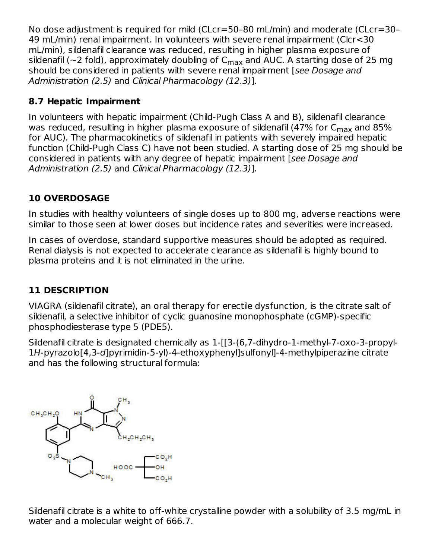No dose adjustment is required for mild (CLcr=50–80 mL/min) and moderate (CLcr=30– 49 mL/min) renal impairment. In volunteers with severe renal impairment (Clcr<30 mL/min), sildenafil clearance was reduced, resulting in higher plasma exposure of sildenafil (~2 fold), approximately doubling of  $\mathsf{C}_{\mathsf{max}}$  and AUC. A starting dose of 25 mg should be considered in patients with severe renal impairment [see Dosage and Administration (2.5) and Clinical Pharmacology (12.3)].

## **8.7 Hepatic Impairment**

In volunteers with hepatic impairment (Child-Pugh Class A and B), sildenafil clearance was reduced, resulting in higher plasma exposure of sildenafil (47% for C<sub>max</sub> and 85% for AUC). The pharmacokinetics of sildenafil in patients with severely impaired hepatic function (Child-Pugh Class C) have not been studied. A starting dose of 25 mg should be considered in patients with any degree of hepatic impairment [see Dosage and Administration (2.5) and Clinical Pharmacology (12.3)].

## **10 OVERDOSAGE**

In studies with healthy volunteers of single doses up to 800 mg, adverse reactions were similar to those seen at lower doses but incidence rates and severities were increased.

In cases of overdose, standard supportive measures should be adopted as required. Renal dialysis is not expected to accelerate clearance as sildenafil is highly bound to plasma proteins and it is not eliminated in the urine.

## **11 DESCRIPTION**

VIAGRA (sildenafil citrate), an oral therapy for erectile dysfunction, is the citrate salt of sildenafil, a selective inhibitor of cyclic guanosine monophosphate (cGMP)-specific phosphodiesterase type 5 (PDE5).

Sildenafil citrate is designated chemically as 1-[[3-(6,7-dihydro-1-methyl-7-oxo-3-propyl-1H-pyrazolo[4,3-d]pyrimidin-5-yl)-4-ethoxyphenyl]sulfonyl]-4-methylpiperazine citrate and has the following structural formula:



Sildenafil citrate is a white to off-white crystalline powder with a solubility of 3.5 mg/mL in water and a molecular weight of 666.7.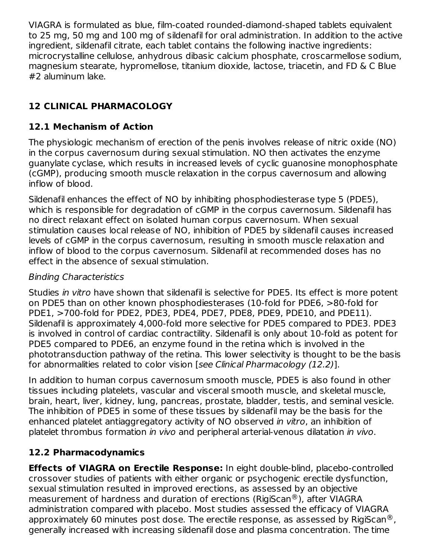VIAGRA is formulated as blue, film-coated rounded-diamond-shaped tablets equivalent to 25 mg, 50 mg and 100 mg of sildenafil for oral administration. In addition to the active ingredient, sildenafil citrate, each tablet contains the following inactive ingredients: microcrystalline cellulose, anhydrous dibasic calcium phosphate, croscarmellose sodium, magnesium stearate, hypromellose, titanium dioxide, lactose, triacetin, and FD & C Blue #2 aluminum lake.

## **12 CLINICAL PHARMACOLOGY**

## **12.1 Mechanism of Action**

The physiologic mechanism of erection of the penis involves release of nitric oxide (NO) in the corpus cavernosum during sexual stimulation. NO then activates the enzyme guanylate cyclase, which results in increased levels of cyclic guanosine monophosphate (cGMP), producing smooth muscle relaxation in the corpus cavernosum and allowing inflow of blood.

Sildenafil enhances the effect of NO by inhibiting phosphodiesterase type 5 (PDE5), which is responsible for degradation of cGMP in the corpus cavernosum. Sildenafil has no direct relaxant effect on isolated human corpus cavernosum. When sexual stimulation causes local release of NO, inhibition of PDE5 by sildenafil causes increased levels of cGMP in the corpus cavernosum, resulting in smooth muscle relaxation and inflow of blood to the corpus cavernosum. Sildenafil at recommended doses has no effect in the absence of sexual stimulation.

## Binding Characteristics

Studies in vitro have shown that sildenafil is selective for PDE5. Its effect is more potent on PDE5 than on other known phosphodiesterases (10-fold for PDE6, >80-fold for PDE1, >700-fold for PDE2, PDE3, PDE4, PDE7, PDE8, PDE9, PDE10, and PDE11). Sildenafil is approximately 4,000-fold more selective for PDE5 compared to PDE3. PDE3 is involved in control of cardiac contractility. Sildenafil is only about 10-fold as potent for PDE5 compared to PDE6, an enzyme found in the retina which is involved in the phototransduction pathway of the retina. This lower selectivity is thought to be the basis for abnormalities related to color vision [see Clinical Pharmacology (12.2)].

In addition to human corpus cavernosum smooth muscle, PDE5 is also found in other tissues including platelets, vascular and visceral smooth muscle, and skeletal muscle, brain, heart, liver, kidney, lung, pancreas, prostate, bladder, testis, and seminal vesicle. The inhibition of PDE5 in some of these tissues by sildenafil may be the basis for the enhanced platelet antiaggregatory activity of NO observed in vitro, an inhibition of platelet thrombus formation in vivo and peripheral arterial-venous dilatation in vivo.

## **12.2 Pharmacodynamics**

**Effects of VIAGRA on Erectile Response:** In eight double-blind, placebo-controlled crossover studies of patients with either organic or psychogenic erectile dysfunction, sexual stimulation resulted in improved erections, as assessed by an objective measurement of hardness and duration of erections (RigiScan $^{\circledR}$ ), after VIAGRA administration compared with placebo. Most studies assessed the efficacy of VIAGRA approximately 60 minutes post dose. The erectile response, as assessed by RigiScan $^\circledR$ , generally increased with increasing sildenafil dose and plasma concentration. The time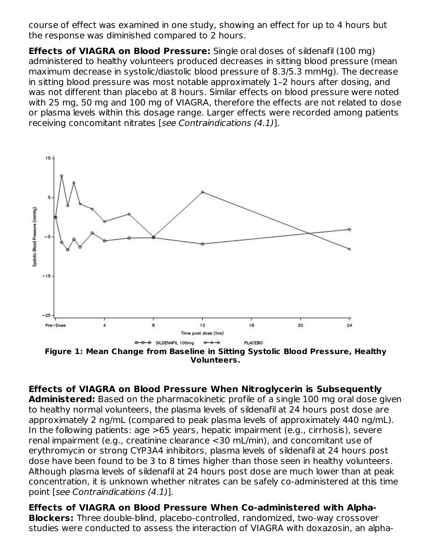course of effect was examined in one study, showing an effect for up to 4 hours but the response was diminished compared to 2 hours.

**Effects of VIAGRA on Blood Pressure:** Single oral doses of sildenafil (100 mg) administered to healthy volunteers produced decreases in sitting blood pressure (mean maximum decrease in systolic/diastolic blood pressure of 8.3/5.3 mmHg). The decrease in sitting blood pressure was most notable approximately 1–2 hours after dosing, and was not different than placebo at 8 hours. Similar effects on blood pressure were noted with 25 mg, 50 mg and 100 mg of VIAGRA, therefore the effects are not related to dose or plasma levels within this dosage range. Larger effects were recorded among patients receiving concomitant nitrates [see Contraindications (4.1)].



**Figure 1: Mean Change from Baseline in Sitting Systolic Blood Pressure, Healthy Volunteers.**

#### **Effects of VIAGRA on Blood Pressure When Nitroglycerin is Subsequently**

**Administered:** Based on the pharmacokinetic profile of a single 100 mg oral dose given to healthy normal volunteers, the plasma levels of sildenafil at 24 hours post dose are approximately 2 ng/mL (compared to peak plasma levels of approximately 440 ng/mL). In the following patients: age >65 years, hepatic impairment (e.g., cirrhosis), severe renal impairment (e.g., creatinine clearance <30 mL/min), and concomitant use of erythromycin or strong CYP3A4 inhibitors, plasma levels of sildenafil at 24 hours post dose have been found to be 3 to 8 times higher than those seen in healthy volunteers. Although plasma levels of sildenafil at 24 hours post dose are much lower than at peak concentration, it is unknown whether nitrates can be safely co-administered at this time point [see Contraindications (4.1)].

**Effects of VIAGRA on Blood Pressure When Co-administered with Alpha-Blockers:** Three double-blind, placebo-controlled, randomized, two-way crossover studies were conducted to assess the interaction of VIAGRA with doxazosin, an alpha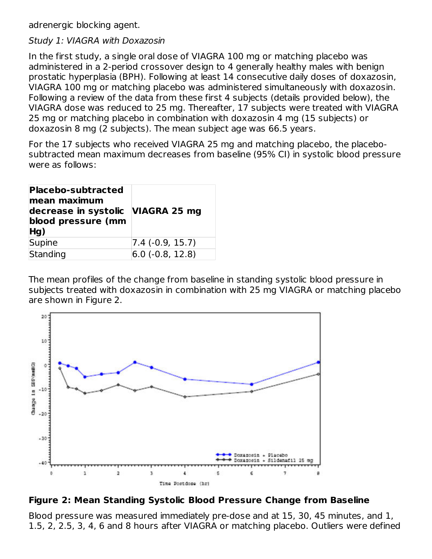adrenergic blocking agent.

Study 1: VIAGRA with Doxazosin

In the first study, a single oral dose of VIAGRA 100 mg or matching placebo was administered in a 2-period crossover design to 4 generally healthy males with benign prostatic hyperplasia (BPH). Following at least 14 consecutive daily doses of doxazosin, VIAGRA 100 mg or matching placebo was administered simultaneously with doxazosin. Following a review of the data from these first 4 subjects (details provided below), the VIAGRA dose was reduced to 25 mg. Thereafter, 17 subjects were treated with VIAGRA 25 mg or matching placebo in combination with doxazosin 4 mg (15 subjects) or doxazosin 8 mg (2 subjects). The mean subject age was 66.5 years.

For the 17 subjects who received VIAGRA 25 mg and matching placebo, the placebosubtracted mean maximum decreases from baseline (95% CI) in systolic blood pressure were as follows:

| Placebo-subtracted<br>mean maximum<br>decrease in systolic<br>blood pressure (mm<br>Hg) | VIAGRA 25 mg        |
|-----------------------------------------------------------------------------------------|---------------------|
| Supine                                                                                  | $ 7.4$ (-0.9, 15.7) |
| Standing                                                                                | $ 6.0$ (-0.8, 12.8) |

The mean profiles of the change from baseline in standing systolic blood pressure in subjects treated with doxazosin in combination with 25 mg VIAGRA or matching placebo are shown in Figure 2.



#### **Figure 2: Mean Standing Systolic Blood Pressure Change from Baseline**

Blood pressure was measured immediately pre-dose and at 15, 30, 45 minutes, and 1, 1.5, 2, 2.5, 3, 4, 6 and 8 hours after VIAGRA or matching placebo. Outliers were defined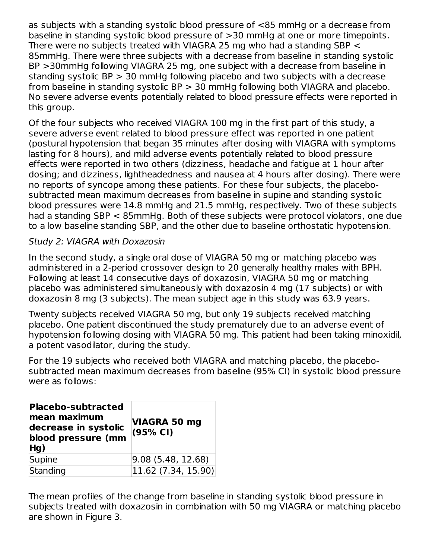as subjects with a standing systolic blood pressure of <85 mmHg or a decrease from baseline in standing systolic blood pressure of >30 mmHg at one or more timepoints. There were no subjects treated with VIAGRA 25 mg who had a standing SBP < 85mmHg. There were three subjects with a decrease from baseline in standing systolic BP >30mmHg following VIAGRA 25 mg, one subject with a decrease from baseline in standing systolic BP > 30 mmHg following placebo and two subjects with a decrease from baseline in standing systolic BP > 30 mmHg following both VIAGRA and placebo. No severe adverse events potentially related to blood pressure effects were reported in this group.

Of the four subjects who received VIAGRA 100 mg in the first part of this study, a severe adverse event related to blood pressure effect was reported in one patient (postural hypotension that began 35 minutes after dosing with VIAGRA with symptoms lasting for 8 hours), and mild adverse events potentially related to blood pressure effects were reported in two others (dizziness, headache and fatigue at 1 hour after dosing; and dizziness, lightheadedness and nausea at 4 hours after dosing). There were no reports of syncope among these patients. For these four subjects, the placebosubtracted mean maximum decreases from baseline in supine and standing systolic blood pressures were 14.8 mmHg and 21.5 mmHg, respectively. Two of these subjects had a standing SBP < 85mmHg. Both of these subjects were protocol violators, one due to a low baseline standing SBP, and the other due to baseline orthostatic hypotension.

#### Study 2: VIAGRA with Doxazosin

In the second study, a single oral dose of VIAGRA 50 mg or matching placebo was administered in a 2-period crossover design to 20 generally healthy males with BPH. Following at least 14 consecutive days of doxazosin, VIAGRA 50 mg or matching placebo was administered simultaneously with doxazosin 4 mg (17 subjects) or with doxazosin 8 mg (3 subjects). The mean subject age in this study was 63.9 years.

Twenty subjects received VIAGRA 50 mg, but only 19 subjects received matching placebo. One patient discontinued the study prematurely due to an adverse event of hypotension following dosing with VIAGRA 50 mg. This patient had been taking minoxidil, a potent vasodilator, during the study.

For the 19 subjects who received both VIAGRA and matching placebo, the placebosubtracted mean maximum decreases from baseline (95% CI) in systolic blood pressure were as follows:

| <b>Placebo-subtracted</b><br>mean maximum<br>decrease in systolic<br>blood pressure (mm<br>Hg) | VIAGRA 50 mg<br>(95% CI) |
|------------------------------------------------------------------------------------------------|--------------------------|
| Supine                                                                                         | 9.08(5.48, 12.68)        |
| Standing                                                                                       | 11.62(7.34, 15.90)       |

The mean profiles of the change from baseline in standing systolic blood pressure in subjects treated with doxazosin in combination with 50 mg VIAGRA or matching placebo are shown in Figure 3.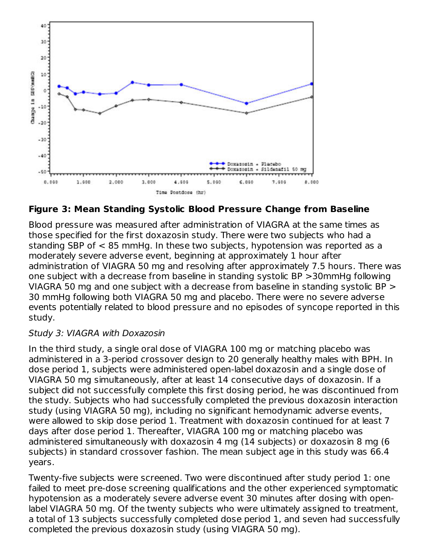

#### **Figure 3: Mean Standing Systolic Blood Pressure Change from Baseline**

Blood pressure was measured after administration of VIAGRA at the same times as those specified for the first doxazosin study. There were two subjects who had a standing SBP of < 85 mmHg. In these two subjects, hypotension was reported as a moderately severe adverse event, beginning at approximately 1 hour after administration of VIAGRA 50 mg and resolving after approximately 7.5 hours. There was one subject with a decrease from baseline in standing systolic BP >30mmHg following VIAGRA 50 mg and one subject with a decrease from baseline in standing systolic BP > 30 mmHg following both VIAGRA 50 mg and placebo. There were no severe adverse events potentially related to blood pressure and no episodes of syncope reported in this study.

#### Study 3: VIAGRA with Doxazosin

In the third study, a single oral dose of VIAGRA 100 mg or matching placebo was administered in a 3-period crossover design to 20 generally healthy males with BPH. In dose period 1, subjects were administered open-label doxazosin and a single dose of VIAGRA 50 mg simultaneously, after at least 14 consecutive days of doxazosin. If a subject did not successfully complete this first dosing period, he was discontinued from the study. Subjects who had successfully completed the previous doxazosin interaction study (using VIAGRA 50 mg), including no significant hemodynamic adverse events, were allowed to skip dose period 1. Treatment with doxazosin continued for at least 7 days after dose period 1. Thereafter, VIAGRA 100 mg or matching placebo was administered simultaneously with doxazosin 4 mg (14 subjects) or doxazosin 8 mg (6 subjects) in standard crossover fashion. The mean subject age in this study was 66.4 years.

Twenty-five subjects were screened. Two were discontinued after study period 1: one failed to meet pre-dose screening qualifications and the other experienced symptomatic hypotension as a moderately severe adverse event 30 minutes after dosing with openlabel VIAGRA 50 mg. Of the twenty subjects who were ultimately assigned to treatment, a total of 13 subjects successfully completed dose period 1, and seven had successfully completed the previous doxazosin study (using VIAGRA 50 mg).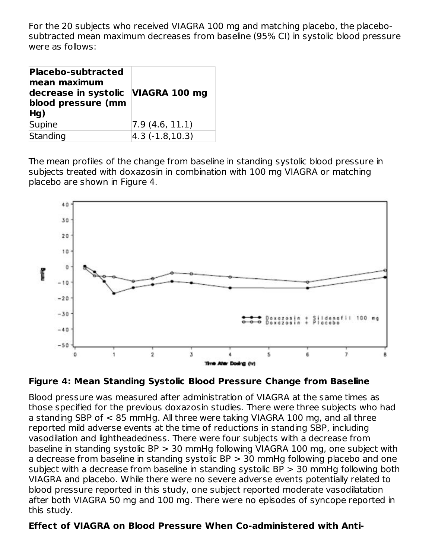For the 20 subjects who received VIAGRA 100 mg and matching placebo, the placebosubtracted mean maximum decreases from baseline (95% CI) in systolic blood pressure were as follows:

| <b>Placebo-subtracted</b><br>mean maximum<br>decrease in systolic<br>blood pressure (mm<br>Hg) | <b>VIAGRA 100 mg</b> |
|------------------------------------------------------------------------------------------------|----------------------|
| Supine                                                                                         | 7.9(4.6, 11.1)       |
| Standing                                                                                       | $ 4.3(-1.8,10.3) $   |

The mean profiles of the change from baseline in standing systolic blood pressure in subjects treated with doxazosin in combination with 100 mg VIAGRA or matching placebo are shown in Figure 4.



#### **Figure 4: Mean Standing Systolic Blood Pressure Change from Baseline**

Blood pressure was measured after administration of VIAGRA at the same times as those specified for the previous doxazosin studies. There were three subjects who had a standing SBP of < 85 mmHg. All three were taking VIAGRA 100 mg, and all three reported mild adverse events at the time of reductions in standing SBP, including vasodilation and lightheadedness. There were four subjects with a decrease from baseline in standing systolic BP > 30 mmHg following VIAGRA 100 mg, one subject with a decrease from baseline in standing systolic BP > 30 mmHg following placebo and one subject with a decrease from baseline in standing systolic  $BP > 30$  mmHg following both VIAGRA and placebo. While there were no severe adverse events potentially related to blood pressure reported in this study, one subject reported moderate vasodilatation after both VIAGRA 50 mg and 100 mg. There were no episodes of syncope reported in this study.

#### **Effect of VIAGRA on Blood Pressure When Co-administered with Anti-**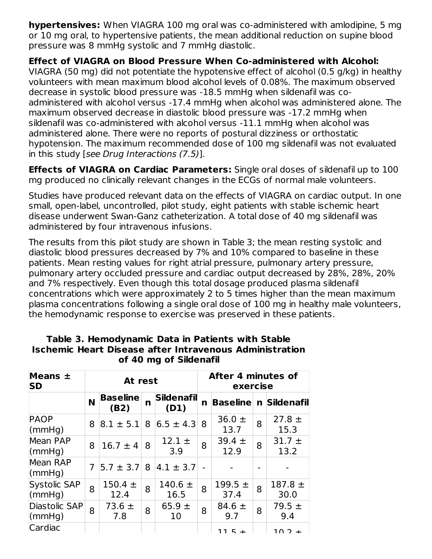**hypertensives:** When VIAGRA 100 mg oral was co-administered with amlodipine, 5 mg or 10 mg oral, to hypertensive patients, the mean additional reduction on supine blood pressure was 8 mmHg systolic and 7 mmHg diastolic.

**Effect of VIAGRA on Blood Pressure When Co-administered with Alcohol:**

VIAGRA (50 mg) did not potentiate the hypotensive effect of alcohol (0.5 g/kg) in healthy volunteers with mean maximum blood alcohol levels of 0.08%. The maximum observed decrease in systolic blood pressure was -18.5 mmHg when sildenafil was coadministered with alcohol versus -17.4 mmHg when alcohol was administered alone. The maximum observed decrease in diastolic blood pressure was -17.2 mmHg when sildenafil was co-administered with alcohol versus -11.1 mmHg when alcohol was administered alone. There were no reports of postural dizziness or orthostatic hypotension. The maximum recommended dose of 100 mg sildenafil was not evaluated in this study [see Drug Interactions (7.5)].

**Effects of VIAGRA on Cardiac Parameters:** Single oral doses of sildenafil up to 100 mg produced no clinically relevant changes in the ECGs of normal male volunteers.

Studies have produced relevant data on the effects of VIAGRA on cardiac output. In one small, open-label, uncontrolled, pilot study, eight patients with stable ischemic heart disease underwent Swan-Ganz catheterization. A total dose of 40 mg sildenafil was administered by four intravenous infusions.

The results from this pilot study are shown in Table 3; the mean resting systolic and diastolic blood pressures decreased by 7% and 10% compared to baseline in these patients. Mean resting values for right atrial pressure, pulmonary artery pressure, pulmonary artery occluded pressure and cardiac output decreased by 28%, 28%, 20% and 7% respectively. Even though this total dosage produced plasma sildenafil concentrations which were approximately 2 to 5 times higher than the mean maximum plasma concentrations following a single oral dose of 100 mg in healthy male volunteers, the hemodynamic response to exercise was preserved in these patients.

| <b>Means ±</b><br><b>SD</b>      | At rest |                         |   |                           | After 4 minutes of<br>exercise |                     |   |                              |
|----------------------------------|---------|-------------------------|---|---------------------------|--------------------------------|---------------------|---|------------------------------|
|                                  | N       | <b>Baseline</b><br>(B2) | n | <b>Sildenafil</b><br>(D1) | n                              |                     |   | <b>Baseline n Sildenafil</b> |
| <b>PAOP</b><br>$\mathsf{mmHq}$   | 8       | $8.1 \pm 5.1$           | 8 | $6.5 \pm 4.3$             | 8                              | 36.0 $\pm$<br>13.7  | 8 | $27.8 \pm$<br>15.3           |
| Mean PAP<br>$\mathsf{mmHq}$      | 8       | $16.7 \pm 4$            | 8 | $12.1 \pm$<br>3.9         | 8                              | $39.4 \pm$<br>12.9  | 8 | $31.7 \pm$<br>13.2           |
| Mean RAP<br>$\mathsf{mmHq}$      | 7       | $ 5.7 \pm 3.7 $         | 8 | $4.1 \pm 3.7$             |                                |                     |   |                              |
| Systolic SAP<br>$\text{mHg}$     | 8       | 150.4 $\pm$<br>12.4     | 8 | 140.6 $\pm$<br>16.5       | 8                              | 199.5 $\pm$<br>37.4 | 8 | 187.8 $\pm$<br>30.0          |
| Diastolic SAP<br>$\mathsf{mmHq}$ | 8       | 73.6 $\pm$<br>7.8       | 8 | 65.9 $\pm$<br>10          | 8                              | 84.6 $\pm$<br>9.7   | 8 | $79.5 \pm$<br>9.4            |
| Cardiac                          |         |                         |   |                           |                                | 1.<br>1.<br>к       |   |                              |

#### **Table 3. Hemodynamic Data in Patients with Stable Ischemic Heart Disease after Intravenous Administration of 40 mg of Sildenafil**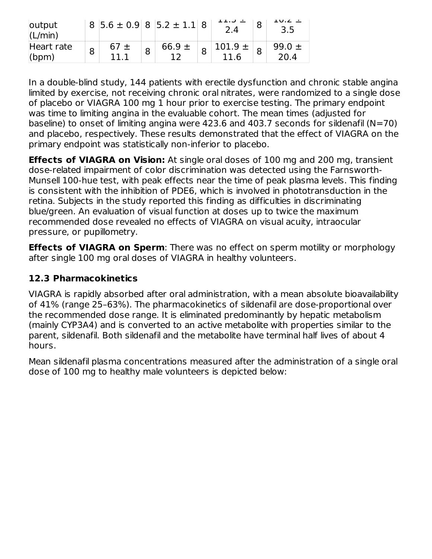| output<br>(L/min)   |   | $8$ 5.6 ± 0.9 8 5.2 ± 1.1 8 |   |            |   |             | エロ・ヒー<br>3.5 |
|---------------------|---|-----------------------------|---|------------|---|-------------|--------------|
| Heart rate<br>(bpm) | 8 | $67 \pm$                    | 8 | 66.9 $\pm$ | 8 | $101.9 \pm$ | 99.0 $\pm$   |

In a double-blind study, 144 patients with erectile dysfunction and chronic stable angina limited by exercise, not receiving chronic oral nitrates, were randomized to a single dose of placebo or VIAGRA 100 mg 1 hour prior to exercise testing. The primary endpoint was time to limiting angina in the evaluable cohort. The mean times (adjusted for baseline) to onset of limiting angina were 423.6 and 403.7 seconds for sildenafil ( $N=70$ ) and placebo, respectively. These results demonstrated that the effect of VIAGRA on the primary endpoint was statistically non-inferior to placebo.

**Effects of VIAGRA on Vision:** At single oral doses of 100 mg and 200 mg, transient dose-related impairment of color discrimination was detected using the Farnsworth-Munsell 100-hue test, with peak effects near the time of peak plasma levels. This finding is consistent with the inhibition of PDE6, which is involved in phototransduction in the retina. Subjects in the study reported this finding as difficulties in discriminating blue/green. An evaluation of visual function at doses up to twice the maximum recommended dose revealed no effects of VIAGRA on visual acuity, intraocular pressure, or pupillometry.

**Effects of VIAGRA on Sperm**: There was no effect on sperm motility or morphology after single 100 mg oral doses of VIAGRA in healthy volunteers.

#### **12.3 Pharmacokinetics**

VIAGRA is rapidly absorbed after oral administration, with a mean absolute bioavailability of 41% (range 25–63%). The pharmacokinetics of sildenafil are dose-proportional over the recommended dose range. It is eliminated predominantly by hepatic metabolism (mainly CYP3A4) and is converted to an active metabolite with properties similar to the parent, sildenafil. Both sildenafil and the metabolite have terminal half lives of about 4 hours.

Mean sildenafil plasma concentrations measured after the administration of a single oral dose of 100 mg to healthy male volunteers is depicted below: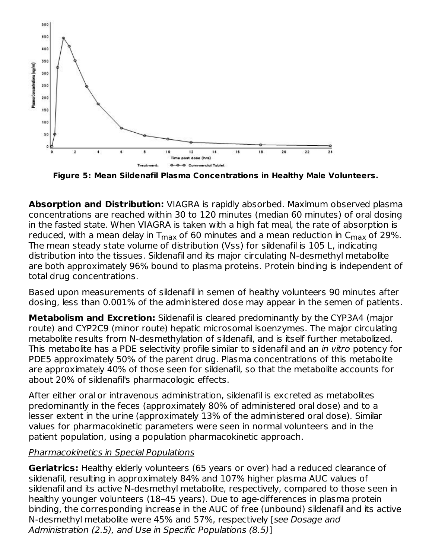

**Figure 5: Mean Sildenafil Plasma Concentrations in Healthy Male Volunteers.**

**Absorption and Distribution:** VIAGRA is rapidly absorbed. Maximum observed plasma concentrations are reached within 30 to 120 minutes (median 60 minutes) of oral dosing in the fasted state. When VIAGRA is taken with a high fat meal, the rate of absorption is reduced, with a mean delay in T<sub>max</sub> of 60 minutes and a mean reduction in C<sub>max</sub> of 29%. The mean steady state volume of distribution (Vss) for sildenafil is 105 L, indicating distribution into the tissues. Sildenafil and its major circulating N-desmethyl metabolite are both approximately 96% bound to plasma proteins. Protein binding is independent of total drug concentrations.

Based upon measurements of sildenafil in semen of healthy volunteers 90 minutes after dosing, less than 0.001% of the administered dose may appear in the semen of patients.

**Metabolism and Excretion:** Sildenafil is cleared predominantly by the CYP3A4 (major route) and CYP2C9 (minor route) hepatic microsomal isoenzymes. The major circulating metabolite results from N-desmethylation of sildenafil, and is itself further metabolized. This metabolite has a PDE selectivity profile similar to sildenafil and an in vitro potency for PDE5 approximately 50% of the parent drug. Plasma concentrations of this metabolite are approximately 40% of those seen for sildenafil, so that the metabolite accounts for about 20% of sildenafil's pharmacologic effects.

After either oral or intravenous administration, sildenafil is excreted as metabolites predominantly in the feces (approximately 80% of administered oral dose) and to a lesser extent in the urine (approximately 13% of the administered oral dose). Similar values for pharmacokinetic parameters were seen in normal volunteers and in the patient population, using a population pharmacokinetic approach.

#### Pharmacokinetics in Special Populations

Geriatrics: Healthy elderly volunteers (65 years or over) had a reduced clearance of sildenafil, resulting in approximately 84% and 107% higher plasma AUC values of sildenafil and its active N-desmethyl metabolite, respectively, compared to those seen in healthy younger volunteers (18–45 years). Due to age-differences in plasma protein binding, the corresponding increase in the AUC of free (unbound) sildenafil and its active N-desmethyl metabolite were 45% and 57%, respectively [see Dosage and Administration (2.5), and Use in Specific Populations (8.5)]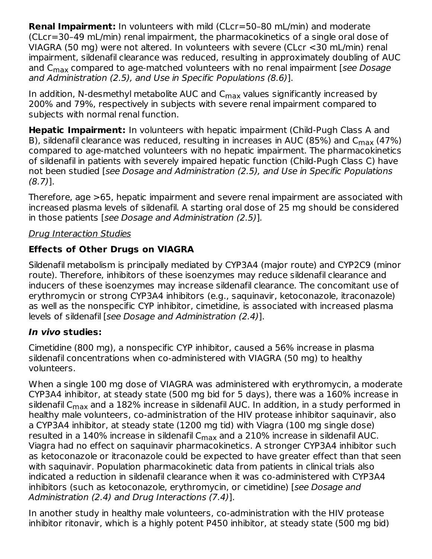**Renal Impairment:** In volunteers with mild (CLcr=50–80 mL/min) and moderate (CLcr=30–49 mL/min) renal impairment, the pharmacokinetics of a single oral dose of VIAGRA (50 mg) were not altered. In volunteers with severe (CLcr <30 mL/min) renal impairment, sildenafil clearance was reduced, resulting in approximately doubling of AUC and C<sub>max</sub> compared to age-matched volunteers with no renal impairment [*see Dosage* and Administration (2.5), and Use in Specific Populations (8.6)].

In addition, N-desmethyl metabolite AUC and C<sub>max</sub> values significantly increased by 200% and 79%, respectively in subjects with severe renal impairment compared to subjects with normal renal function.

**Hepatic Impairment:** In volunteers with hepatic impairment (Child-Pugh Class A and B), sildenafil clearance was reduced, resulting in increases in AUC (85%) and C<sub>max</sub> (47%) compared to age-matched volunteers with no hepatic impairment. The pharmacokinetics of sildenafil in patients with severely impaired hepatic function (Child-Pugh Class C) have not been studied [see Dosage and Administration (2.5), and Use in Specific Populations (8.7)].

Therefore, age >65, hepatic impairment and severe renal impairment are associated with increased plasma levels of sildenafil. A starting oral dose of 25 mg should be considered in those patients [see Dosage and Administration (2.5)].

#### Drug Interaction Studies

#### **Effects of Other Drugs on VIAGRA**

Sildenafil metabolism is principally mediated by CYP3A4 (major route) and CYP2C9 (minor route). Therefore, inhibitors of these isoenzymes may reduce sildenafil clearance and inducers of these isoenzymes may increase sildenafil clearance. The concomitant use of erythromycin or strong CYP3A4 inhibitors (e.g., saquinavir, ketoconazole, itraconazole) as well as the nonspecific CYP inhibitor, cimetidine, is associated with increased plasma levels of sildenafil [see Dosage and Administration (2.4)].

#### **In vivo studies:**

Cimetidine (800 mg), a nonspecific CYP inhibitor, caused a 56% increase in plasma sildenafil concentrations when co-administered with VIAGRA (50 mg) to healthy volunteers.

When a single 100 mg dose of VIAGRA was administered with erythromycin, a moderate CYP3A4 inhibitor, at steady state (500 mg bid for 5 days), there was a 160% increase in sildenafil C<sub>max</sub> and a 182% increase in sildenafil AUC. In addition, in a study performed in healthy male volunteers, co-administration of the HIV protease inhibitor saquinavir, also a CYP3A4 inhibitor, at steady state (1200 mg tid) with Viagra (100 mg single dose) resulted in a 140% increase in sildenafil C $_{\sf max}$  and a 210% increase in sildenafil AUC. Viagra had no effect on saquinavir pharmacokinetics. A stronger CYP3A4 inhibitor such as ketoconazole or itraconazole could be expected to have greater effect than that seen with saquinavir. Population pharmacokinetic data from patients in clinical trials also indicated a reduction in sildenafil clearance when it was co-administered with CYP3A4 inhibitors (such as ketoconazole, erythromycin, or cimetidine) [see Dosage and Administration (2.4) and Drug Interactions (7.4)].

In another study in healthy male volunteers, co-administration with the HIV protease inhibitor ritonavir, which is a highly potent P450 inhibitor, at steady state (500 mg bid)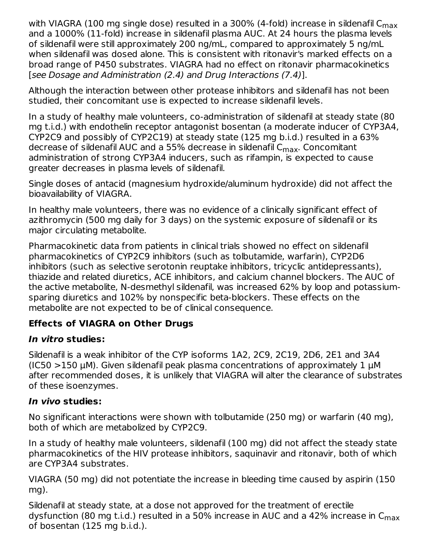with VIAGRA (100 mg single dose) resulted in a 300% (4-fold) increase in sildenafil C<sub>max</sub> and a 1000% (11-fold) increase in sildenafil plasma AUC. At 24 hours the plasma levels of sildenafil were still approximately 200 ng/mL, compared to approximately 5 ng/mL when sildenafil was dosed alone. This is consistent with ritonavir's marked effects on a broad range of P450 substrates. VIAGRA had no effect on ritonavir pharmacokinetics [see Dosage and Administration (2.4) and Drug Interactions (7.4)].

Although the interaction between other protease inhibitors and sildenafil has not been studied, their concomitant use is expected to increase sildenafil levels.

In a study of healthy male volunteers, co-administration of sildenafil at steady state (80 mg t.i.d.) with endothelin receptor antagonist bosentan (a moderate inducer of CYP3A4, CYP2C9 and possibly of CYP2C19) at steady state (125 mg b.i.d.) resulted in a 63% decrease of sildenafil AUC and a 55% decrease in sildenafil C<sub>max</sub>. Concomitant administration of strong CYP3A4 inducers, such as rifampin, is expected to cause greater decreases in plasma levels of sildenafil.

Single doses of antacid (magnesium hydroxide/aluminum hydroxide) did not affect the bioavailability of VIAGRA.

In healthy male volunteers, there was no evidence of a clinically significant effect of azithromycin (500 mg daily for 3 days) on the systemic exposure of sildenafil or its major circulating metabolite.

Pharmacokinetic data from patients in clinical trials showed no effect on sildenafil pharmacokinetics of CYP2C9 inhibitors (such as tolbutamide, warfarin), CYP2D6 inhibitors (such as selective serotonin reuptake inhibitors, tricyclic antidepressants), thiazide and related diuretics, ACE inhibitors, and calcium channel blockers. The AUC of the active metabolite, N-desmethyl sildenafil, was increased 62% by loop and potassiumsparing diuretics and 102% by nonspecific beta-blockers. These effects on the metabolite are not expected to be of clinical consequence.

#### **Effects of VIAGRA on Other Drugs**

#### **In vitro studies:**

Sildenafil is a weak inhibitor of the CYP isoforms 1A2, 2C9, 2C19, 2D6, 2E1 and 3A4 (IC50 >150 µM). Given sildenafil peak plasma concentrations of approximately 1 µM after recommended doses, it is unlikely that VIAGRA will alter the clearance of substrates of these isoenzymes.

#### **In vivo studies:**

No significant interactions were shown with tolbutamide (250 mg) or warfarin (40 mg), both of which are metabolized by CYP2C9.

In a study of healthy male volunteers, sildenafil (100 mg) did not affect the steady state pharmacokinetics of the HIV protease inhibitors, saquinavir and ritonavir, both of which are CYP3A4 substrates.

VIAGRA (50 mg) did not potentiate the increase in bleeding time caused by aspirin (150 mg).

Sildenafil at steady state, at a dose not approved for the treatment of erectile dysfunction (80 mg t.i.d.) resulted in a 50% increase in AUC and a 42% increase in C<sub>max</sub> of bosentan (125 mg b.i.d.).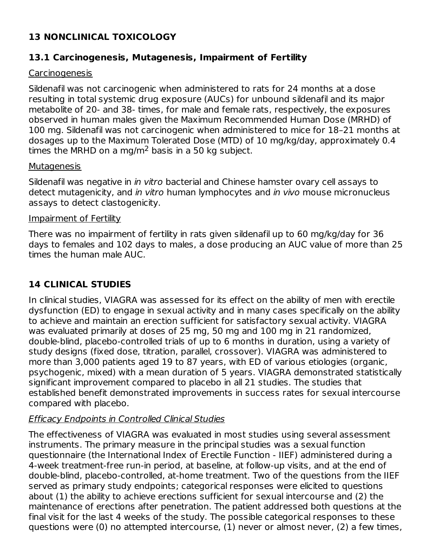## **13 NONCLINICAL TOXICOLOGY**

#### **13.1 Carcinogenesis, Mutagenesis, Impairment of Fertility**

#### **Carcinogenesis**

Sildenafil was not carcinogenic when administered to rats for 24 months at a dose resulting in total systemic drug exposure (AUCs) for unbound sildenafil and its major metabolite of 20- and 38- times, for male and female rats, respectively, the exposures observed in human males given the Maximum Recommended Human Dose (MRHD) of 100 mg. Sildenafil was not carcinogenic when administered to mice for 18–21 months at dosages up to the Maximum Tolerated Dose (MTD) of 10 mg/kg/day, approximately 0.4 times the MRHD on a mg/m<sup>2</sup> basis in a 50 kg subject.

#### Mutagenesis

Sildenafil was negative in *in vitro* bacterial and Chinese hamster ovary cell assays to detect mutagenicity, and in vitro human lymphocytes and in vivo mouse micronucleus assays to detect clastogenicity.

#### Impairment of Fertility

There was no impairment of fertility in rats given sildenafil up to 60 mg/kg/day for 36 days to females and 102 days to males, a dose producing an AUC value of more than 25 times the human male AUC.

## **14 CLINICAL STUDIES**

In clinical studies, VIAGRA was assessed for its effect on the ability of men with erectile dysfunction (ED) to engage in sexual activity and in many cases specifically on the ability to achieve and maintain an erection sufficient for satisfactory sexual activity. VIAGRA was evaluated primarily at doses of 25 mg, 50 mg and 100 mg in 21 randomized, double-blind, placebo-controlled trials of up to 6 months in duration, using a variety of study designs (fixed dose, titration, parallel, crossover). VIAGRA was administered to more than 3,000 patients aged 19 to 87 years, with ED of various etiologies (organic, psychogenic, mixed) with a mean duration of 5 years. VIAGRA demonstrated statistically significant improvement compared to placebo in all 21 studies. The studies that established benefit demonstrated improvements in success rates for sexual intercourse compared with placebo.

#### Efficacy Endpoints in Controlled Clinical Studies

The effectiveness of VIAGRA was evaluated in most studies using several assessment instruments. The primary measure in the principal studies was a sexual function questionnaire (the International Index of Erectile Function - IIEF) administered during a 4-week treatment-free run-in period, at baseline, at follow-up visits, and at the end of double-blind, placebo-controlled, at-home treatment. Two of the questions from the IIEF served as primary study endpoints; categorical responses were elicited to questions about (1) the ability to achieve erections sufficient for sexual intercourse and (2) the maintenance of erections after penetration. The patient addressed both questions at the final visit for the last 4 weeks of the study. The possible categorical responses to these questions were (0) no attempted intercourse, (1) never or almost never, (2) a few times,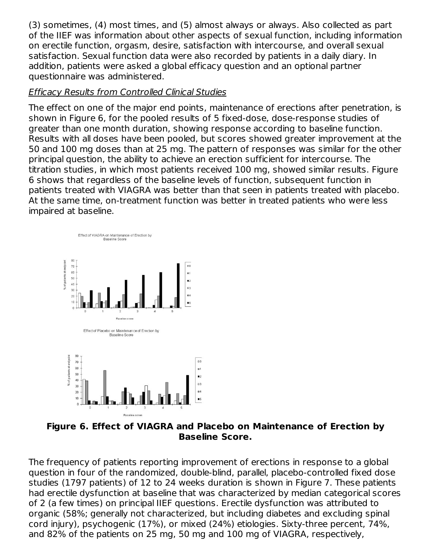(3) sometimes, (4) most times, and (5) almost always or always. Also collected as part of the IIEF was information about other aspects of sexual function, including information on erectile function, orgasm, desire, satisfaction with intercourse, and overall sexual satisfaction. Sexual function data were also recorded by patients in a daily diary. In addition, patients were asked a global efficacy question and an optional partner questionnaire was administered.

#### Efficacy Results from Controlled Clinical Studies

The effect on one of the major end points, maintenance of erections after penetration, is shown in Figure 6, for the pooled results of 5 fixed-dose, dose-response studies of greater than one month duration, showing response according to baseline function. Results with all doses have been pooled, but scores showed greater improvement at the 50 and 100 mg doses than at 25 mg. The pattern of responses was similar for the other principal question, the ability to achieve an erection sufficient for intercourse. The titration studies, in which most patients received 100 mg, showed similar results. Figure 6 shows that regardless of the baseline levels of function, subsequent function in patients treated with VIAGRA was better than that seen in patients treated with placebo. At the same time, on-treatment function was better in treated patients who were less impaired at baseline.



**Figure 6. Effect of VIAGRA and Placebo on Maintenance of Erection by Baseline Score.**

The frequency of patients reporting improvement of erections in response to a global question in four of the randomized, double-blind, parallel, placebo-controlled fixed dose studies (1797 patients) of 12 to 24 weeks duration is shown in Figure 7. These patients had erectile dysfunction at baseline that was characterized by median categorical scores of 2 (a few times) on principal IIEF questions. Erectile dysfunction was attributed to organic (58%; generally not characterized, but including diabetes and excluding spinal cord injury), psychogenic (17%), or mixed (24%) etiologies. Sixty-three percent, 74%, and 82% of the patients on 25 mg, 50 mg and 100 mg of VIAGRA, respectively,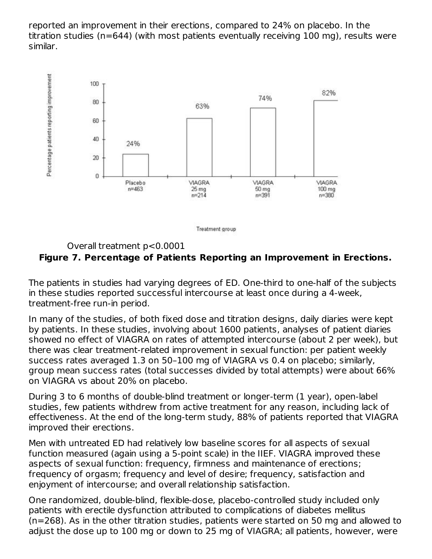reported an improvement in their erections, compared to 24% on placebo. In the titration studies (n=644) (with most patients eventually receiving 100 mg), results were similar.



Overall treatment p<0.0001 **Figure 7. Percentage of Patients Reporting an Improvement in Erections.**

The patients in studies had varying degrees of ED. One-third to one-half of the subjects in these studies reported successful intercourse at least once during a 4-week, treatment-free run-in period.

In many of the studies, of both fixed dose and titration designs, daily diaries were kept by patients. In these studies, involving about 1600 patients, analyses of patient diaries showed no effect of VIAGRA on rates of attempted intercourse (about 2 per week), but there was clear treatment-related improvement in sexual function: per patient weekly success rates averaged 1.3 on 50–100 mg of VIAGRA vs 0.4 on placebo; similarly, group mean success rates (total successes divided by total attempts) were about 66% on VIAGRA vs about 20% on placebo.

During 3 to 6 months of double-blind treatment or longer-term (1 year), open-label studies, few patients withdrew from active treatment for any reason, including lack of effectiveness. At the end of the long-term study, 88% of patients reported that VIAGRA improved their erections.

Men with untreated ED had relatively low baseline scores for all aspects of sexual function measured (again using a 5-point scale) in the IIEF. VIAGRA improved these aspects of sexual function: frequency, firmness and maintenance of erections; frequency of orgasm; frequency and level of desire; frequency, satisfaction and enjoyment of intercourse; and overall relationship satisfaction.

One randomized, double-blind, flexible-dose, placebo-controlled study included only patients with erectile dysfunction attributed to complications of diabetes mellitus (n=268). As in the other titration studies, patients were started on 50 mg and allowed to adjust the dose up to 100 mg or down to 25 mg of VIAGRA; all patients, however, were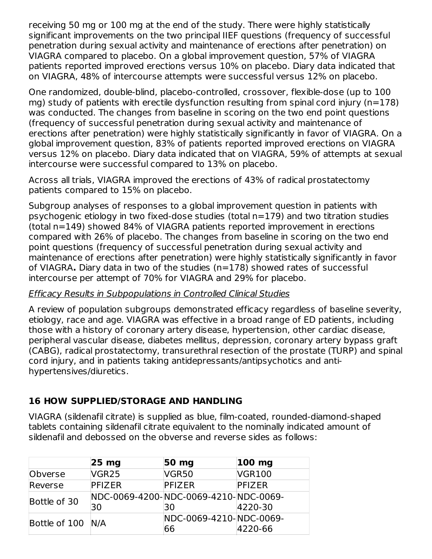receiving 50 mg or 100 mg at the end of the study. There were highly statistically significant improvements on the two principal IIEF questions (frequency of successful penetration during sexual activity and maintenance of erections after penetration) on VIAGRA compared to placebo. On a global improvement question, 57% of VIAGRA patients reported improved erections versus 10% on placebo. Diary data indicated that on VIAGRA, 48% of intercourse attempts were successful versus 12% on placebo.

One randomized, double-blind, placebo-controlled, crossover, flexible-dose (up to 100 mg) study of patients with erectile dysfunction resulting from spinal cord injury (n=178) was conducted. The changes from baseline in scoring on the two end point questions (frequency of successful penetration during sexual activity and maintenance of erections after penetration) were highly statistically significantly in favor of VIAGRA. On a global improvement question, 83% of patients reported improved erections on VIAGRA versus 12% on placebo. Diary data indicated that on VIAGRA, 59% of attempts at sexual intercourse were successful compared to 13% on placebo.

Across all trials, VIAGRA improved the erections of 43% of radical prostatectomy patients compared to 15% on placebo.

Subgroup analyses of responses to a global improvement question in patients with psychogenic etiology in two fixed-dose studies (total n=179) and two titration studies (total n=149) showed 84% of VIAGRA patients reported improvement in erections compared with 26% of placebo. The changes from baseline in scoring on the two end point questions (frequency of successful penetration during sexual activity and maintenance of erections after penetration) were highly statistically significantly in favor of VIAGRA**.** Diary data in two of the studies (n=178) showed rates of successful intercourse per attempt of 70% for VIAGRA and 29% for placebo.

#### Efficacy Results in Subpopulations in Controlled Clinical Studies

A review of population subgroups demonstrated efficacy regardless of baseline severity, etiology, race and age. VIAGRA was effective in a broad range of ED patients, including those with a history of coronary artery disease, hypertension, other cardiac disease, peripheral vascular disease, diabetes mellitus, depression, coronary artery bypass graft (CABG), radical prostatectomy, transurethral resection of the prostate (TURP) and spinal cord injury, and in patients taking antidepressants/antipsychotics and antihypertensives/diuretics.

#### **16 HOW SUPPLIED/STORAGE AND HANDLING**

VIAGRA (sildenafil citrate) is supplied as blue, film-coated, rounded-diamond-shaped tablets containing sildenafil citrate equivalent to the nominally indicated amount of sildenafil and debossed on the obverse and reverse sides as follows:

|                   | $25 \text{ mg}$ | 50 mg                                 | $100$ mg      |
|-------------------|-----------------|---------------------------------------|---------------|
| Obverse           | VGR25           | VGR50                                 | <b>VGR100</b> |
| Reverse           | PFIZER          | <b>PFIZER</b>                         | <b>PFIZER</b> |
| Bottle of 30      |                 | NDC-0069-4200-NDC-0069-4210-NDC-0069- |               |
|                   | 30              | 30                                    | 4220-30       |
| Bottle of 100 N/A |                 | NDC-0069-4210-NDC-0069-               |               |
|                   |                 | 66                                    | 4220-66       |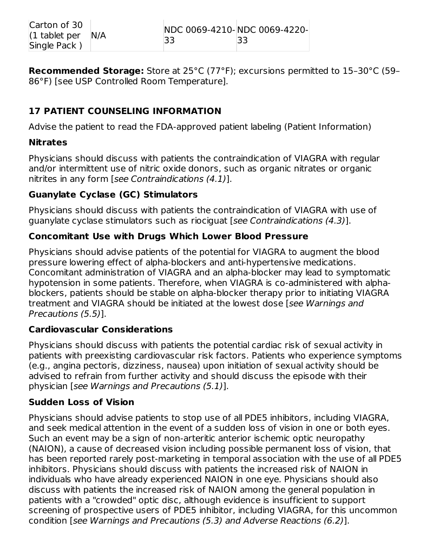| Carton of 30<br>$(1$ tablet per<br>N/A<br>Single Pack) |  | NDC 0069-4210-NDC 0069-4220- |
|--------------------------------------------------------|--|------------------------------|
|--------------------------------------------------------|--|------------------------------|

**Recommended Storage:** Store at 25°C (77°F); excursions permitted to 15–30°C (59– 86°F) [see USP Controlled Room Temperature].

## **17 PATIENT COUNSELING INFORMATION**

Advise the patient to read the FDA-approved patient labeling (Patient Information)

#### **Nitrates**

Physicians should discuss with patients the contraindication of VIAGRA with regular and/or intermittent use of nitric oxide donors, such as organic nitrates or organic nitrites in any form [see Contraindications (4.1)].

## **Guanylate Cyclase (GC) Stimulators**

Physicians should discuss with patients the contraindication of VIAGRA with use of guanylate cyclase stimulators such as riociguat [see Contraindications (4.3)].

## **Concomitant Use with Drugs Which Lower Blood Pressure**

Physicians should advise patients of the potential for VIAGRA to augment the blood pressure lowering effect of alpha-blockers and anti-hypertensive medications. Concomitant administration of VIAGRA and an alpha-blocker may lead to symptomatic hypotension in some patients. Therefore, when VIAGRA is co-administered with alphablockers, patients should be stable on alpha-blocker therapy prior to initiating VIAGRA treatment and VIAGRA should be initiated at the lowest dose [see Warnings and Precautions (5.5)].

#### **Cardiovascular Considerations**

Physicians should discuss with patients the potential cardiac risk of sexual activity in patients with preexisting cardiovascular risk factors. Patients who experience symptoms (e.g., angina pectoris, dizziness, nausea) upon initiation of sexual activity should be advised to refrain from further activity and should discuss the episode with their physician [see Warnings and Precautions (5.1)].

#### **Sudden Loss of Vision**

Physicians should advise patients to stop use of all PDE5 inhibitors, including VIAGRA, and seek medical attention in the event of a sudden loss of vision in one or both eyes. Such an event may be a sign of non-arteritic anterior ischemic optic neuropathy (NAION), a cause of decreased vision including possible permanent loss of vision, that has been reported rarely post-marketing in temporal association with the use of all PDE5 inhibitors. Physicians should discuss with patients the increased risk of NAION in individuals who have already experienced NAION in one eye. Physicians should also discuss with patients the increased risk of NAION among the general population in patients with a "crowded" optic disc, although evidence is insufficient to support screening of prospective users of PDE5 inhibitor, including VIAGRA, for this uncommon condition [see Warnings and Precautions (5.3) and Adverse Reactions (6.2)].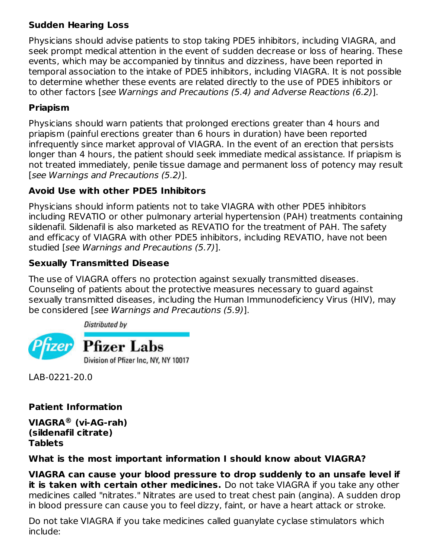#### **Sudden Hearing Loss**

Physicians should advise patients to stop taking PDE5 inhibitors, including VIAGRA, and seek prompt medical attention in the event of sudden decrease or loss of hearing. These events, which may be accompanied by tinnitus and dizziness, have been reported in temporal association to the intake of PDE5 inhibitors, including VIAGRA. It is not possible to determine whether these events are related directly to the use of PDE5 inhibitors or to other factors [see Warnings and Precautions (5.4) and Adverse Reactions (6.2)].

#### **Priapism**

Physicians should warn patients that prolonged erections greater than 4 hours and priapism (painful erections greater than 6 hours in duration) have been reported infrequently since market approval of VIAGRA. In the event of an erection that persists longer than 4 hours, the patient should seek immediate medical assistance. If priapism is not treated immediately, penile tissue damage and permanent loss of potency may result [see Warnings and Precautions (5.2)].

#### **Avoid Use with other PDE5 Inhibitors**

Physicians should inform patients not to take VIAGRA with other PDE5 inhibitors including REVATIO or other pulmonary arterial hypertension (PAH) treatments containing sildenafil. Sildenafil is also marketed as REVATIO for the treatment of PAH. The safety and efficacy of VIAGRA with other PDE5 inhibitors, including REVATIO, have not been studied [see Warnings and Precautions (5.7)].

#### **Sexually Transmitted Disease**

The use of VIAGRA offers no protection against sexually transmitted diseases. Counseling of patients about the protective measures necessary to guard against sexually transmitted diseases, including the Human Immunodeficiency Virus (HIV), may be considered [see Warnings and Precautions (5.9)].

**Distributed by** 



Division of Pfizer Inc. NY. NY 10017

LAB-0221-20.0

## **Patient Information**

**VIAGRA (vi-AG-rah) ®(sildenafil citrate) Tablets**

#### **What is the most important information I should know about VIAGRA?**

**VIAGRA can cause your blood pressure to drop suddenly to an unsafe level if it is taken with certain other medicines.** Do not take VIAGRA if you take any other medicines called "nitrates." Nitrates are used to treat chest pain (angina). A sudden drop in blood pressure can cause you to feel dizzy, faint, or have a heart attack or stroke.

Do not take VIAGRA if you take medicines called guanylate cyclase stimulators which include: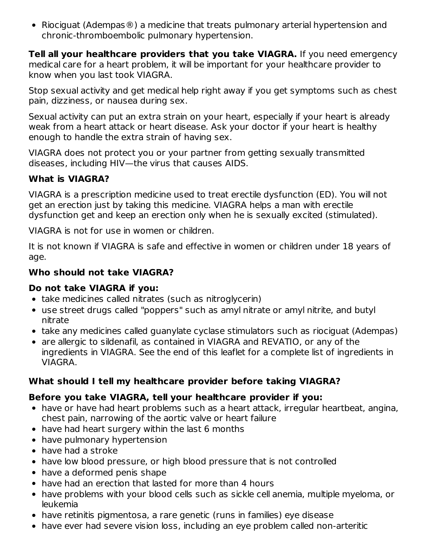■ Riociguat (Adempas®) a medicine that treats pulmonary arterial hypertension and chronic-thromboembolic pulmonary hypertension.

**Tell all your healthcare providers that you take VIAGRA.** If you need emergency medical care for a heart problem, it will be important for your healthcare provider to know when you last took VIAGRA.

Stop sexual activity and get medical help right away if you get symptoms such as chest pain, dizziness, or nausea during sex.

Sexual activity can put an extra strain on your heart, especially if your heart is already weak from a heart attack or heart disease. Ask your doctor if your heart is healthy enough to handle the extra strain of having sex.

VIAGRA does not protect you or your partner from getting sexually transmitted diseases, including HIV—the virus that causes AIDS.

#### **What is VIAGRA?**

VIAGRA is a prescription medicine used to treat erectile dysfunction (ED). You will not get an erection just by taking this medicine. VIAGRA helps a man with erectile dysfunction get and keep an erection only when he is sexually excited (stimulated).

VIAGRA is not for use in women or children.

It is not known if VIAGRA is safe and effective in women or children under 18 years of age.

## **Who should not take VIAGRA?**

#### **Do not take VIAGRA if you:**

- take medicines called nitrates (such as nitroglycerin)
- use street drugs called "poppers" such as amyl nitrate or amyl nitrite, and butyl nitrate
- take any medicines called guanylate cyclase stimulators such as riociguat (Adempas)
- are allergic to sildenafil, as contained in VIAGRA and REVATIO, or any of the ingredients in VIAGRA. See the end of this leaflet for a complete list of ingredients in VIAGRA.

## **What should I tell my healthcare provider before taking VIAGRA?**

#### **Before you take VIAGRA, tell your healthcare provider if you:**

- have or have had heart problems such as a heart attack, irregular heartbeat, angina, chest pain, narrowing of the aortic valve or heart failure
- have had heart surgery within the last 6 months
- have pulmonary hypertension
- have had a stroke
- have low blood pressure, or high blood pressure that is not controlled
- have a deformed penis shape
- have had an erection that lasted for more than 4 hours
- have problems with your blood cells such as sickle cell anemia, multiple myeloma, or leukemia
- have retinitis pigmentosa, a rare genetic (runs in families) eye disease
- have ever had severe vision loss, including an eye problem called non-arteritic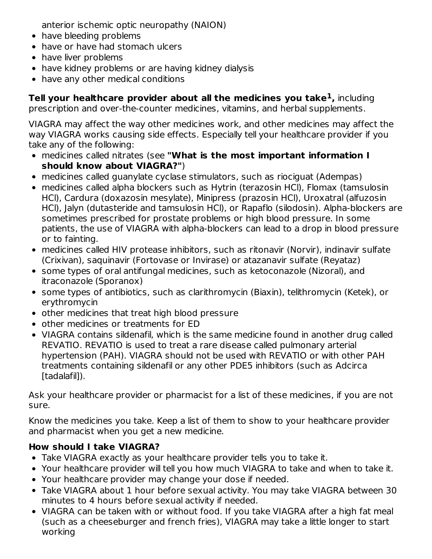anterior ischemic optic neuropathy (NAION)

- have bleeding problems
- have or have had stomach ulcers
- have liver problems
- have kidney problems or are having kidney dialysis
- have any other medical conditions

**Tell your healthcare provider about all the medicines you take ,** including **1**prescription and over-the-counter medicines, vitamins, and herbal supplements.

VIAGRA may affect the way other medicines work, and other medicines may affect the way VIAGRA works causing side effects. Especially tell your healthcare provider if you take any of the following:

- medicines called nitrates (see **"What is the most important information I should know about VIAGRA?"**)
- medicines called guanylate cyclase stimulators, such as riociguat (Adempas)
- medicines called alpha blockers such as Hytrin (terazosin HCl), Flomax (tamsulosin HCl), Cardura (doxazosin mesylate), Minipress (prazosin HCl), Uroxatral (alfuzosin HCl), Jalyn (dutasteride and tamsulosin HCl), or Rapaflo (silodosin). Alpha-blockers are sometimes prescribed for prostate problems or high blood pressure. In some patients, the use of VIAGRA with alpha-blockers can lead to a drop in blood pressure or to fainting.
- medicines called HIV protease inhibitors, such as ritonavir (Norvir), indinavir sulfate (Crixivan), saquinavir (Fortovase or Invirase) or atazanavir sulfate (Reyataz)
- some types of oral antifungal medicines, such as ketoconazole (Nizoral), and itraconazole (Sporanox)
- some types of antibiotics, such as clarithromycin (Biaxin), telithromycin (Ketek), or erythromycin
- other medicines that treat high blood pressure
- other medicines or treatments for ED
- VIAGRA contains sildenafil, which is the same medicine found in another drug called REVATIO. REVATIO is used to treat a rare disease called pulmonary arterial hypertension (PAH). VIAGRA should not be used with REVATIO or with other PAH treatments containing sildenafil or any other PDE5 inhibitors (such as Adcirca [tadalafil]).

Ask your healthcare provider or pharmacist for a list of these medicines, if you are not sure.

Know the medicines you take. Keep a list of them to show to your healthcare provider and pharmacist when you get a new medicine.

## **How should I take VIAGRA?**

- Take VIAGRA exactly as your healthcare provider tells you to take it.
- Your healthcare provider will tell you how much VIAGRA to take and when to take it.
- Your healthcare provider may change your dose if needed.
- Take VIAGRA about 1 hour before sexual activity. You may take VIAGRA between 30 minutes to 4 hours before sexual activity if needed.
- VIAGRA can be taken with or without food. If you take VIAGRA after a high fat meal (such as a cheeseburger and french fries), VIAGRA may take a little longer to start working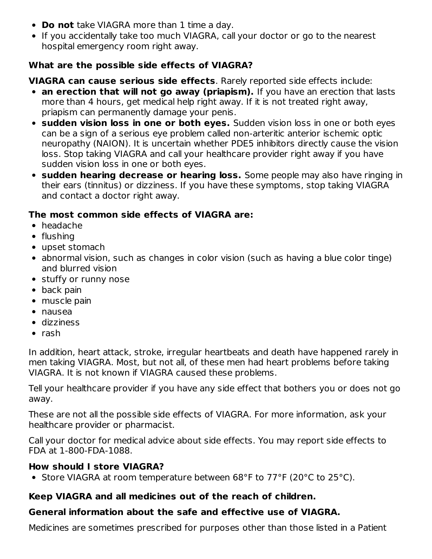- **Do not** take VIAGRA more than 1 time a day.
- If you accidentally take too much VIAGRA, call your doctor or go to the nearest hospital emergency room right away.

### **What are the possible side effects of VIAGRA?**

## **VIAGRA can cause serious side effects**. Rarely reported side effects include:

- **an erection that will not go away (priapism).** If you have an erection that lasts more than 4 hours, get medical help right away. If it is not treated right away, priapism can permanently damage your penis.
- **sudden vision loss in one or both eyes.** Sudden vision loss in one or both eyes can be a sign of a serious eye problem called non-arteritic anterior ischemic optic neuropathy (NAION). It is uncertain whether PDE5 inhibitors directly cause the vision loss. Stop taking VIAGRA and call your healthcare provider right away if you have sudden vision loss in one or both eyes.
- **sudden hearing decrease or hearing loss.** Some people may also have ringing in their ears (tinnitus) or dizziness. If you have these symptoms, stop taking VIAGRA and contact a doctor right away.

## **The most common side effects of VIAGRA are:**

- headache
- flushing
- upset stomach
- abnormal vision, such as changes in color vision (such as having a blue color tinge) and blurred vision
- stuffy or runny nose
- back pain
- muscle pain
- nausea
- dizziness
- $\bullet$  rash

In addition, heart attack, stroke, irregular heartbeats and death have happened rarely in men taking VIAGRA. Most, but not all, of these men had heart problems before taking VIAGRA. It is not known if VIAGRA caused these problems.

Tell your healthcare provider if you have any side effect that bothers you or does not go away.

These are not all the possible side effects of VIAGRA. For more information, ask your healthcare provider or pharmacist.

Call your doctor for medical advice about side effects. You may report side effects to FDA at 1-800-FDA-1088.

## **How should I store VIAGRA?**

• Store VIAGRA at room temperature between 68°F to 77°F (20°C to 25°C).

## **Keep VIAGRA and all medicines out of the reach of children.**

## **General information about the safe and effective use of VIAGRA.**

Medicines are sometimes prescribed for purposes other than those listed in a Patient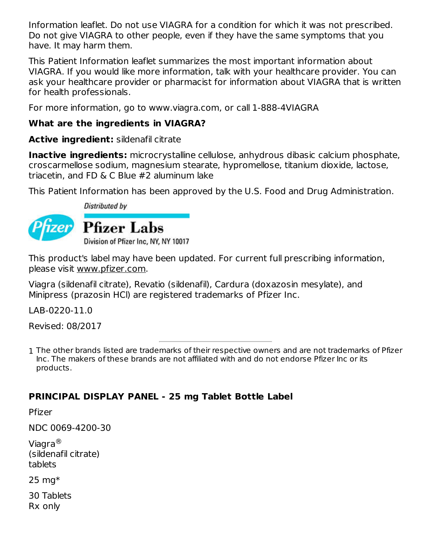Information leaflet. Do not use VIAGRA for a condition for which it was not prescribed. Do not give VIAGRA to other people, even if they have the same symptoms that you have. It may harm them.

This Patient Information leaflet summarizes the most important information about VIAGRA. If you would like more information, talk with your healthcare provider. You can ask your healthcare provider or pharmacist for information about VIAGRA that is written for health professionals.

For more information, go to www.viagra.com, or call 1-888-4VIAGRA

#### **What are the ingredients in VIAGRA?**

**Active ingredient:** sildenafil citrate

**Inactive ingredients:** microcrystalline cellulose, anhydrous dibasic calcium phosphate, croscarmellose sodium, magnesium stearate, hypromellose, titanium dioxide, lactose, triacetin, and FD & C Blue #2 aluminum lake

This Patient Information has been approved by the U.S. Food and Drug Administration.

Distributed by



# **Pfizer Labs**

Division of Pfizer Inc, NY, NY 10017

This product's label may have been updated. For current full prescribing information, please visit www.pfizer.com.

Viagra (sildenafil citrate), Revatio (sildenafil), Cardura (doxazosin mesylate), and Minipress (prazosin HCl) are registered trademarks of Pfizer Inc.

LAB-0220-11.0

Revised: 08/2017

1 The other brands listed are trademarks of their respective owners and are not trademarks of Pfizer Inc. The makers of these brands are not affiliated with and do not endorse Pfizer Inc or its products.

#### **PRINCIPAL DISPLAY PANEL - 25 mg Tablet Bottle Label**

Pfizer

NDC 0069-4200-30

Viagra ®(sildenafil citrate) tablets

25 mg\*

30 Tablets Rx only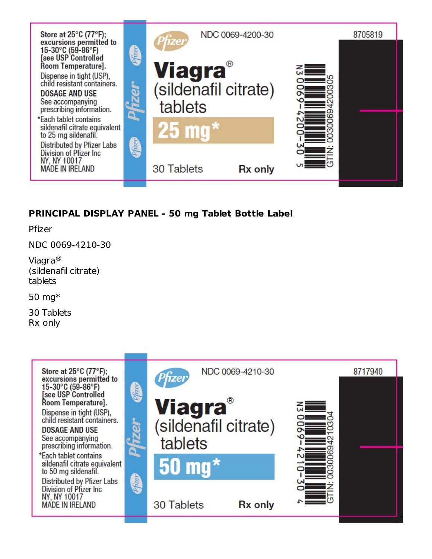

## **PRINCIPAL DISPLAY PANEL - 50 mg Tablet Bottle Label**

Pfizer

NDC 0069-4210-30

Viagra ®(sildenafil citrate) tablets

50 mg\*

30 Tablets Rx only

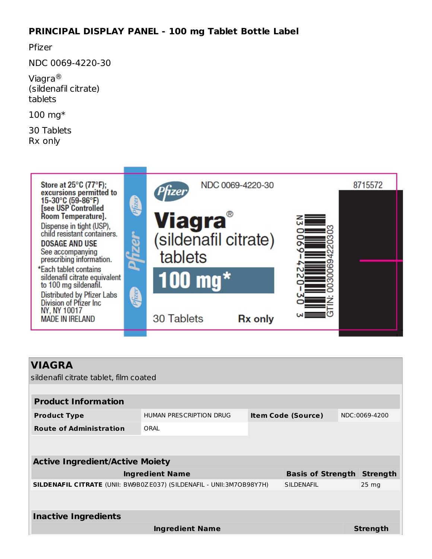#### **PRINCIPAL DISPLAY PANEL - 100 mg Tablet Bottle Label**

Pfizer

NDC 0069-4220-30

Viagra ®(sildenafil citrate) tablets

100 mg\*

30 Tablets Rx only



| <b>VIAGRA</b>                                                         |                         |                           |                 |
|-----------------------------------------------------------------------|-------------------------|---------------------------|-----------------|
| sildenafil citrate tablet, film coated                                |                         |                           |                 |
|                                                                       |                         |                           |                 |
| <b>Product Information</b>                                            |                         |                           |                 |
| <b>Product Type</b>                                                   | HUMAN PRESCRIPTION DRUG | <b>Item Code (Source)</b> | NDC:0069-4200   |
| <b>Route of Administration</b>                                        | ORAL                    |                           |                 |
|                                                                       |                         |                           |                 |
|                                                                       |                         |                           |                 |
| <b>Active Ingredient/Active Moiety</b>                                |                         |                           |                 |
|                                                                       | <b>Ingredient Name</b>  | <b>Basis of Strength</b>  | <b>Strength</b> |
| SILDENAFIL CITRATE (UNII: BW9B0ZE037) (SILDENAFIL - UNII: 3M7OB98Y7H) |                         | <b>SILDENAFIL</b>         | $25 \, mg$      |
|                                                                       |                         |                           |                 |
|                                                                       |                         |                           |                 |
| <b>Inactive Ingredients</b>                                           |                         |                           |                 |
|                                                                       | <b>Ingredient Name</b>  |                           | <b>Strength</b> |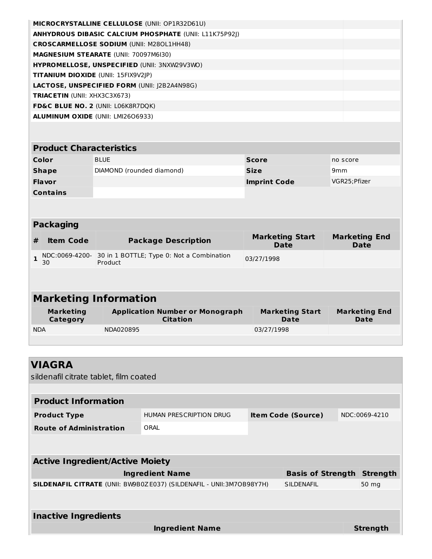| <b>MICROCRYSTALLINE CELLULOSE (UNII: OP1R32D61U)</b>          |  |
|---------------------------------------------------------------|--|
| <b>ANHYDROUS DIBASIC CALCIUM PHOSPHATE (UNII: L11K75P92I)</b> |  |
| <b>CROSCARMELLOSE SODIUM (UNII: M280L1HH48)</b>               |  |
| <b>MAGNESIUM STEARATE (UNII: 70097M6I30)</b>                  |  |
| HYPROMELLOSE, UNSPECIFIED (UNII: 3NXW29V3WO)                  |  |
| <b>TITANIUM DIOXIDE</b> (UNII: 15FIX9V2JP)                    |  |
| LACTOSE, UNSPECIFIED FORM (UNII: J2B2A4N98G)                  |  |
| <b>TRIACETIN</b> (UNII: XHX3C3X673)                           |  |
| <b>FD&amp;C BLUE NO. 2 (UNII: LO6K8R7DQK)</b>                 |  |
| <b>ALUMINUM OXIDE (UNII: LMI2606933)</b>                      |  |
|                                                               |  |

| <b>Product Characteristics</b> |                           |                     |                 |  |
|--------------------------------|---------------------------|---------------------|-----------------|--|
| Color                          | <b>BLUE</b>               | <b>Score</b>        | no score        |  |
| <b>Shape</b>                   | DIAMOND (rounded diamond) | <b>Size</b>         | 9 <sub>mm</sub> |  |
| <b>Flavor</b>                  |                           | <b>Imprint Code</b> | VGR25; Pfizer   |  |
| <b>Contains</b>                |                           |                     |                 |  |

|  | <b>Packaging</b> |  |
|--|------------------|--|
|  |                  |  |
|  |                  |  |
|  |                  |  |

| <b>Item Code</b> | <b>Package Description</b>                                                  | <b>Marketing Start</b><br><b>Date</b> | <b>Marketing End</b><br>Date |
|------------------|-----------------------------------------------------------------------------|---------------------------------------|------------------------------|
| 30               | $\vert$ NDC:0069-4200- 30 in 1 BOTTLE; Type 0: Not a Combination<br>Product | 03/27/1998                            |                              |
|                  |                                                                             |                                       |                              |

| <b>Marketing Information</b> |                                                           |                                       |                              |  |
|------------------------------|-----------------------------------------------------------|---------------------------------------|------------------------------|--|
| <b>Marketing</b><br>Category | <b>Application Number or Monograph</b><br><b>Citation</b> | <b>Marketing Start</b><br><b>Date</b> | <b>Marketing End</b><br>Date |  |
| <b>NDA</b>                   | NDA020895                                                 | 03/27/1998                            |                              |  |
|                              |                                                           |                                       |                              |  |

| <b>VIAGRA</b><br>sildenafil citrate tablet, film coated               |                         |  |                           |  |                 |
|-----------------------------------------------------------------------|-------------------------|--|---------------------------|--|-----------------|
|                                                                       |                         |  |                           |  |                 |
| <b>Product Information</b>                                            |                         |  |                           |  |                 |
| <b>Product Type</b>                                                   | HUMAN PRESCRIPTION DRUG |  | <b>Item Code (Source)</b> |  | NDC:0069-4210   |
| <b>Route of Administration</b>                                        | ORAL                    |  |                           |  |                 |
|                                                                       |                         |  |                           |  |                 |
| <b>Active Ingredient/Active Moiety</b>                                |                         |  |                           |  |                 |
|                                                                       | <b>Ingredient Name</b>  |  | <b>Basis of Strength</b>  |  | <b>Strength</b> |
| SILDENAFIL CITRATE (UNII: BW9B0ZE037) (SILDENAFIL - UNII: 3M7OB98Y7H) |                         |  | <b>SILDENAFIL</b>         |  | 50 mg           |
|                                                                       |                         |  |                           |  |                 |
| <b>Inactive Ingredients</b>                                           |                         |  |                           |  |                 |
|                                                                       | <b>Ingredient Name</b>  |  |                           |  | <b>Strength</b> |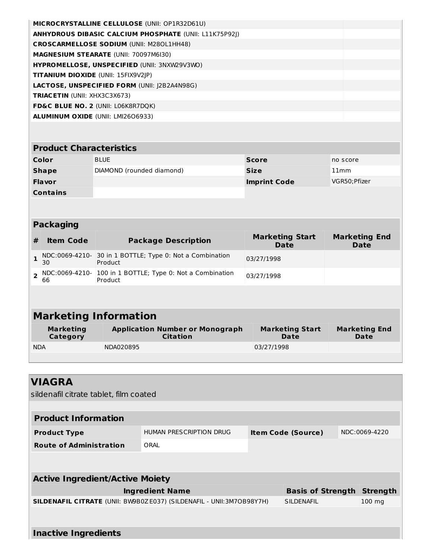| <b>MICROCRYSTALLINE CELLULOSE (UNII: OP1R32D61U)</b>          |  |
|---------------------------------------------------------------|--|
| <b>ANHYDROUS DIBASIC CALCIUM PHOSPHATE (UNII: L11K75P92J)</b> |  |
| <b>CROSCARMELLOSE SODIUM (UNII: M280L1HH48)</b>               |  |
| <b>MAGNESIUM STEARATE (UNII: 70097M6I30)</b>                  |  |
| HYPROMELLOSE, UNSPECIFIED (UNII: 3NXW29V3WO)                  |  |
| <b>TITANIUM DIOXIDE</b> (UNII: 15FIX9V2JP)                    |  |
| LACTOSE, UNSPECIFIED FORM (UNII: J2B2A4N98G)                  |  |
| <b>TRIACETIN</b> (UNII: XHX3C3X673)                           |  |
| <b>FD&amp;C BLUE NO. 2 (UNII: LO6K8R7DQK)</b>                 |  |
| <b>ALUMINUM OXIDE (UNII: LMI2606933)</b>                      |  |

#### **Product Characteristics**

| Color           | <b>BLUE</b>               | <b>Score</b>        | no score      |
|-----------------|---------------------------|---------------------|---------------|
| <b>Shape</b>    | DIAMOND (rounded diamond) | <b>Size</b>         | 11mm          |
| <b>Flavor</b>   |                           | <b>Imprint Code</b> | VGR50; Pfizer |
| <b>Contains</b> |                           |                     |               |

#### **Packaging**

| <b>Item Code</b> | <b>Package Description</b>                                            | <b>Marketing Start</b><br><b>Date</b> | <b>Marketing End</b><br><b>Date</b> |
|------------------|-----------------------------------------------------------------------|---------------------------------------|-------------------------------------|
| 30               | 1 NDC:0069-4210- 30 in 1 BOTTLE; Type 0: Not a Combination<br>Product | 03/27/1998                            |                                     |
| 66               | NDC:0069-4210- 100 in 1 BOTTLE; Type 0: Not a Combination<br>Product  | 03/27/1998                            |                                     |

## **Marketing Information**

| Marketing  | <b>Application Number or Monograph</b> | <b>Marketing Start</b> | <b>Marketing End</b> |
|------------|----------------------------------------|------------------------|----------------------|
| Category   | Citation                               | Date                   | <b>Date</b>          |
| <b>NDA</b> | NDA020895                              | 03/27/1998             |                      |

# **VIAGRA** sildenafil citrate tablet, film coated **Product Information Product Type** HUMAN PRESCRIPTION DRUG **Item Code (Source)** NDC:0069-4220 **Route of Administration** ORAL **Active Ingredient/Active Moiety Ingredient Name Basis of Strength Strength SILDENAFIL CITRATE** (UNII: BW9B0ZE037) (SILDENAFIL - UNII:3M7OB98Y7H) SILDENAFIL 100 mg **Inactive Ingredients**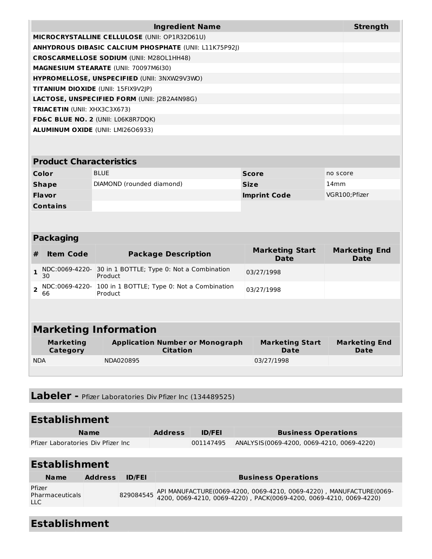| Ingredient Name                                               | <b>Strength</b> |
|---------------------------------------------------------------|-----------------|
| <b>MICROCRYSTALLINE CELLULOSE (UNII: OP1R32D61U)</b>          |                 |
| <b>ANHYDROUS DIBASIC CALCIUM PHOSPHATE (UNII: L11K75P92J)</b> |                 |
| <b>CROSCARMELLOSE SODIUM (UNII: M280L1HH48)</b>               |                 |
| <b>MAGNESIUM STEARATE (UNII: 70097M6I30)</b>                  |                 |
| <b>HYPROMELLOSE, UNSPECIFIED (UNII: 3NXW29V3WO)</b>           |                 |
| <b>TITANIUM DIOXIDE</b> (UNII: 15FIX9V2IP)                    |                 |
| LACTOSE, UNSPECIFIED FORM (UNII: J2B2A4N98G)                  |                 |
| <b>TRIACETIN</b> (UNII: XHX3C3X673)                           |                 |
| <b>FD&amp;C BLUE NO. 2 (UNII: LO6K8R7DQK)</b>                 |                 |
| <b>ALUMINUM OXIDE (UNII: LMI2606933)</b>                      |                 |
|                                                               |                 |
|                                                               |                 |
| <b>Product Characteristics</b>                                |                 |

| Color           | <b>BLUE</b>               | <b>Score</b>        | no score      |
|-----------------|---------------------------|---------------------|---------------|
| <b>Shape</b>    | DIAMOND (rounded diamond) | <b>Size</b>         | 14mm          |
| <b>Flavor</b>   |                           | <b>Imprint Code</b> | VGR100:Pfizer |
| <b>Contains</b> |                           |                     |               |

#### **Packaging**

| <b>Item Code</b> | <b>Package Description</b>                                                    | <b>Marketing Start</b><br><b>Date</b> | <b>Marketing End</b><br><b>Date</b> |
|------------------|-------------------------------------------------------------------------------|---------------------------------------|-------------------------------------|
| 30               | 1 NDC:0069-4220- 30 in 1 BOTTLE; Type 0: Not a Combination<br>Product         | 03/27/1998                            |                                     |
| 66               | $\sigma$ NDC:0069-4220- 100 in 1 BOTTLE; Type 0: Not a Combination<br>Product | 03/27/1998                            |                                     |

| Marketing  | <b>Application Number or Monograph</b> | <b>Marketing Start</b> | <b>Marketing End</b> |
|------------|----------------------------------------|------------------------|----------------------|
| Category   | <b>Citation</b>                        | Date                   | Date                 |
| <b>NDA</b> | NDA020895                              | 03/27/1998             |                      |

**Labeler -** Pfizer Laboratories Div Pfizer Inc (134489525)

# **Establishment**

| <b>Name</b>                        | <b>Address</b> | <b>ID/FEI</b> | <b>Business Operations</b>                 |
|------------------------------------|----------------|---------------|--------------------------------------------|
| Pfizer Laboratories Div Pfizer Inc |                | 001147495     | ANALYSIS (0069-4200, 0069-4210, 0069-4220) |

## **Establishment**

| <b>Name</b>                                    | <b>Address</b> | <b>ID/FEI</b> | <b>Business Operations</b>                                                         |
|------------------------------------------------|----------------|---------------|------------------------------------------------------------------------------------|
| Pfizer<br><b>Pharmaceuticals</b><br><b>LLC</b> |                |               | 829084545 API MANUFACTURE(0069-4200, 0069-4210, 0069-4220), MANUFACTURE(0069-4220) |

# **Establishment**